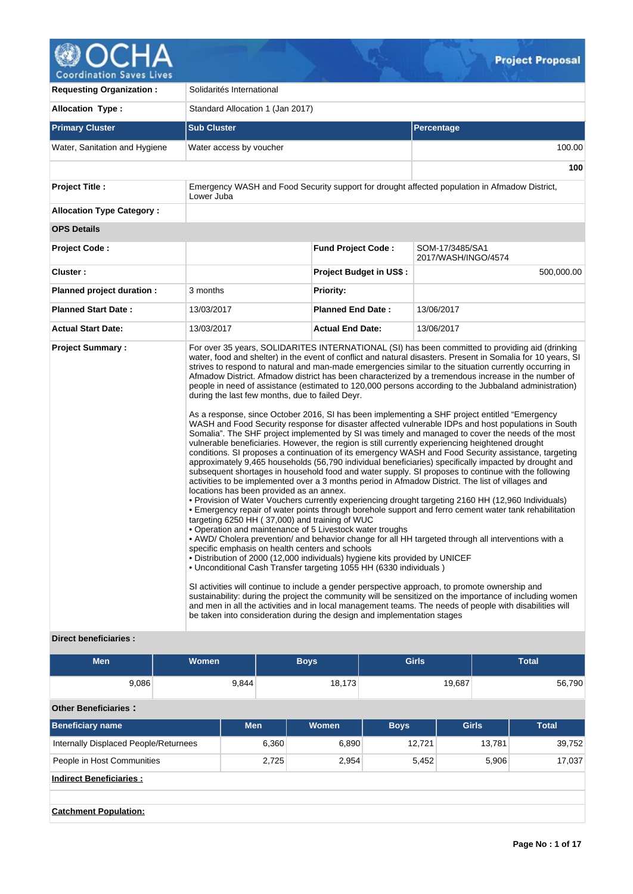

| <b>Requesting Organization:</b>  | Solidarités International                                                                                                                                                                                                                                                                                                                                                                                                                                                                    |                                |                                                                                                                                                                                                                                                                                                                                                                                                                                                                                                                                                                                                                                                                                                                                                                                                                                                                                                                                                                                                                                                                                                                                                                                                                                                                                                                                                                                                                                                                                                                                                                                                                                                                                                                                                                                                                                                                                                                                                                                                                                          |  |  |  |  |
|----------------------------------|----------------------------------------------------------------------------------------------------------------------------------------------------------------------------------------------------------------------------------------------------------------------------------------------------------------------------------------------------------------------------------------------------------------------------------------------------------------------------------------------|--------------------------------|------------------------------------------------------------------------------------------------------------------------------------------------------------------------------------------------------------------------------------------------------------------------------------------------------------------------------------------------------------------------------------------------------------------------------------------------------------------------------------------------------------------------------------------------------------------------------------------------------------------------------------------------------------------------------------------------------------------------------------------------------------------------------------------------------------------------------------------------------------------------------------------------------------------------------------------------------------------------------------------------------------------------------------------------------------------------------------------------------------------------------------------------------------------------------------------------------------------------------------------------------------------------------------------------------------------------------------------------------------------------------------------------------------------------------------------------------------------------------------------------------------------------------------------------------------------------------------------------------------------------------------------------------------------------------------------------------------------------------------------------------------------------------------------------------------------------------------------------------------------------------------------------------------------------------------------------------------------------------------------------------------------------------------------|--|--|--|--|
| <b>Allocation Type:</b>          | Standard Allocation 1 (Jan 2017)                                                                                                                                                                                                                                                                                                                                                                                                                                                             |                                |                                                                                                                                                                                                                                                                                                                                                                                                                                                                                                                                                                                                                                                                                                                                                                                                                                                                                                                                                                                                                                                                                                                                                                                                                                                                                                                                                                                                                                                                                                                                                                                                                                                                                                                                                                                                                                                                                                                                                                                                                                          |  |  |  |  |
| <b>Primary Cluster</b>           | <b>Sub Cluster</b>                                                                                                                                                                                                                                                                                                                                                                                                                                                                           |                                | <b>Percentage</b>                                                                                                                                                                                                                                                                                                                                                                                                                                                                                                                                                                                                                                                                                                                                                                                                                                                                                                                                                                                                                                                                                                                                                                                                                                                                                                                                                                                                                                                                                                                                                                                                                                                                                                                                                                                                                                                                                                                                                                                                                        |  |  |  |  |
| Water, Sanitation and Hygiene    | Water access by voucher                                                                                                                                                                                                                                                                                                                                                                                                                                                                      |                                | 100.00                                                                                                                                                                                                                                                                                                                                                                                                                                                                                                                                                                                                                                                                                                                                                                                                                                                                                                                                                                                                                                                                                                                                                                                                                                                                                                                                                                                                                                                                                                                                                                                                                                                                                                                                                                                                                                                                                                                                                                                                                                   |  |  |  |  |
|                                  |                                                                                                                                                                                                                                                                                                                                                                                                                                                                                              |                                | 100                                                                                                                                                                                                                                                                                                                                                                                                                                                                                                                                                                                                                                                                                                                                                                                                                                                                                                                                                                                                                                                                                                                                                                                                                                                                                                                                                                                                                                                                                                                                                                                                                                                                                                                                                                                                                                                                                                                                                                                                                                      |  |  |  |  |
| Project Title :                  | Lower Juba                                                                                                                                                                                                                                                                                                                                                                                                                                                                                   |                                | Emergency WASH and Food Security support for drought affected population in Afmadow District,                                                                                                                                                                                                                                                                                                                                                                                                                                                                                                                                                                                                                                                                                                                                                                                                                                                                                                                                                                                                                                                                                                                                                                                                                                                                                                                                                                                                                                                                                                                                                                                                                                                                                                                                                                                                                                                                                                                                            |  |  |  |  |
| <b>Allocation Type Category:</b> |                                                                                                                                                                                                                                                                                                                                                                                                                                                                                              |                                |                                                                                                                                                                                                                                                                                                                                                                                                                                                                                                                                                                                                                                                                                                                                                                                                                                                                                                                                                                                                                                                                                                                                                                                                                                                                                                                                                                                                                                                                                                                                                                                                                                                                                                                                                                                                                                                                                                                                                                                                                                          |  |  |  |  |
| <b>OPS Details</b>               |                                                                                                                                                                                                                                                                                                                                                                                                                                                                                              |                                |                                                                                                                                                                                                                                                                                                                                                                                                                                                                                                                                                                                                                                                                                                                                                                                                                                                                                                                                                                                                                                                                                                                                                                                                                                                                                                                                                                                                                                                                                                                                                                                                                                                                                                                                                                                                                                                                                                                                                                                                                                          |  |  |  |  |
| <b>Project Code:</b>             |                                                                                                                                                                                                                                                                                                                                                                                                                                                                                              | <b>Fund Project Code:</b>      | SOM-17/3485/SA1<br>2017/WASH/INGO/4574                                                                                                                                                                                                                                                                                                                                                                                                                                                                                                                                                                                                                                                                                                                                                                                                                                                                                                                                                                                                                                                                                                                                                                                                                                                                                                                                                                                                                                                                                                                                                                                                                                                                                                                                                                                                                                                                                                                                                                                                   |  |  |  |  |
| Cluster:                         |                                                                                                                                                                                                                                                                                                                                                                                                                                                                                              | <b>Project Budget in US\$:</b> | 500,000.00                                                                                                                                                                                                                                                                                                                                                                                                                                                                                                                                                                                                                                                                                                                                                                                                                                                                                                                                                                                                                                                                                                                                                                                                                                                                                                                                                                                                                                                                                                                                                                                                                                                                                                                                                                                                                                                                                                                                                                                                                               |  |  |  |  |
| Planned project duration :       | 3 months                                                                                                                                                                                                                                                                                                                                                                                                                                                                                     | <b>Priority:</b>               |                                                                                                                                                                                                                                                                                                                                                                                                                                                                                                                                                                                                                                                                                                                                                                                                                                                                                                                                                                                                                                                                                                                                                                                                                                                                                                                                                                                                                                                                                                                                                                                                                                                                                                                                                                                                                                                                                                                                                                                                                                          |  |  |  |  |
| <b>Planned Start Date:</b>       | 13/03/2017                                                                                                                                                                                                                                                                                                                                                                                                                                                                                   | <b>Planned End Date:</b>       | 13/06/2017                                                                                                                                                                                                                                                                                                                                                                                                                                                                                                                                                                                                                                                                                                                                                                                                                                                                                                                                                                                                                                                                                                                                                                                                                                                                                                                                                                                                                                                                                                                                                                                                                                                                                                                                                                                                                                                                                                                                                                                                                               |  |  |  |  |
| <b>Actual Start Date:</b>        | 13/03/2017                                                                                                                                                                                                                                                                                                                                                                                                                                                                                   | <b>Actual End Date:</b>        | 13/06/2017                                                                                                                                                                                                                                                                                                                                                                                                                                                                                                                                                                                                                                                                                                                                                                                                                                                                                                                                                                                                                                                                                                                                                                                                                                                                                                                                                                                                                                                                                                                                                                                                                                                                                                                                                                                                                                                                                                                                                                                                                               |  |  |  |  |
| <b>Project Summary:</b>          | during the last few months, due to failed Deyr.<br>locations has been provided as an annex.<br>targeting 6250 HH (37,000) and training of WUC<br>• Operation and maintenance of 5 Livestock water troughs<br>specific emphasis on health centers and schools<br>· Distribution of 2000 (12,000 individuals) hygiene kits provided by UNICEF<br>• Unconditional Cash Transfer targeting 1055 HH (6330 individuals)<br>be taken into consideration during the design and implementation stages |                                | For over 35 years, SOLIDARITES INTERNATIONAL (SI) has been committed to providing aid (drinking<br>water, food and shelter) in the event of conflict and natural disasters. Present in Somalia for 10 years, SI<br>strives to respond to natural and man-made emergencies similar to the situation currently occurring in<br>Afmadow District. Afmadow district has been characterized by a tremendous increase in the number of<br>people in need of assistance (estimated to 120,000 persons according to the Jubbaland administration)<br>As a response, since October 2016, SI has been implementing a SHF project entitled "Emergency<br>WASH and Food Security response for disaster affected vulnerable IDPs and host populations in South<br>Somalia". The SHF project implemented by SI was timely and managed to cover the needs of the most<br>vulnerable beneficiaries. However, the region is still currently experiencing heightened drought<br>conditions. SI proposes a continuation of its emergency WASH and Food Security assistance, targeting<br>approximately 9,465 households (56,790 individual beneficiaries) specifically impacted by drought and<br>subsequent shortages in household food and water supply. SI proposes to continue with the following<br>activities to be implemented over a 3 months period in Afmadow District. The list of villages and<br>• Provision of Water Vouchers currently experiencing drought targeting 2160 HH (12,960 Individuals)<br>• Emergency repair of water points through borehole support and ferro cement water tank rehabilitation<br>• AWD/ Cholera prevention/ and behavior change for all HH targeted through all interventions with a<br>SI activities will continue to include a gender perspective approach, to promote ownership and<br>sustainability: during the project the community will be sensitized on the importance of including women<br>and men in all the activities and in local management teams. The needs of people with disabilities will |  |  |  |  |

# **Direct beneficiaries :**

| <b>Men</b>                            | Women |            | <b>Girls</b><br><b>Boys</b> |        |             |              | <b>Total</b> |
|---------------------------------------|-------|------------|-----------------------------|--------|-------------|--------------|--------------|
| 9,086                                 |       | 9,844      |                             | 18,173 |             | 19,687       | 56,790       |
| <b>Other Beneficiaries:</b>           |       |            |                             |        |             |              |              |
| Beneficiary name                      |       | <b>Men</b> |                             | Women  | <b>Boys</b> | <b>Girls</b> | <b>Total</b> |
| Internally Displaced People/Returnees |       |            | 6,360                       | 6,890  | 12,721      | 13,781       | 39,752       |
| People in Host Communities            |       |            | 2,725                       | 2,954  | 5,452       | 5,906        | 17,037       |
| <b>Indirect Beneficiaries:</b>        |       |            |                             |        |             |              |              |
|                                       |       |            |                             |        |             |              |              |
| <b>Catchment Population:</b>          |       |            |                             |        |             |              |              |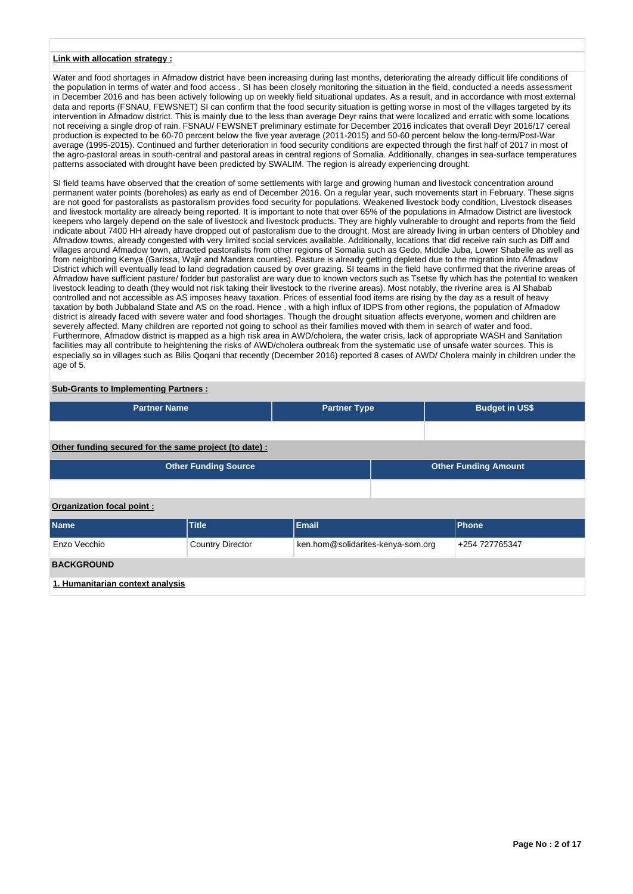### **Link with allocation strategy :**

Water and food shortages in Afmadow district have been increasing during last months, deteriorating the already difficult life conditions of the population in terms of water and food access . SI has been closely monitoring the situation in the field, conducted a needs assessment in December 2016 and has been actively following up on weekly field situational updates. As a result, and in accordance with most external data and reports (FSNAU, FEWSNET) SI can confirm that the food security situation is getting worse in most of the villages targeted by its intervention in Afmadow district. This is mainly due to the less than average Deyr rains that were localized and erratic with some locations not receiving a single drop of rain. FSNAU/ FEWSNET preliminary estimate for December 2016 indicates that overall Deyr 2016/17 cereal production is expected to be 60-70 percent below the five year average (2011-2015) and 50-60 percent below the long-term/Post-War average (1995-2015). Continued and further deterioration in food security conditions are expected through the first half of 2017 in most of the agro-pastoral areas in south-central and pastoral areas in central regions of Somalia. Additionally, changes in sea-surface temperatures patterns associated with drought have been predicted by SWALIM. The region is already experiencing drought.

SI field teams have observed that the creation of some settlements with large and growing human and livestock concentration around permanent water points (boreholes) as early as end of December 2016. On a regular year, such movements start in February. These signs are not good for pastoralists as pastoralism provides food security for populations. Weakened livestock body condition, Livestock diseases and livestock mortality are already being reported. It is important to note that over 65% of the populations in Afmadow District are livestock keepers who largely depend on the sale of livestock and livestock products. They are highly vulnerable to drought and reports from the field indicate about 7400 HH already have dropped out of pastoralism due to the drought. Most are already living in urban centers of Dhobley and Afmadow towns, already congested with very limited social services available. Additionally, locations that did receive rain such as Diff and villages around Afmadow town, attracted pastoralists from other regions of Somalia such as Gedo, Middle Juba, Lower Shabelle as well as from neighboring Kenya (Garissa, Wajir and Mandera counties). Pasture is already getting depleted due to the migration into Afmadow District which will eventually lead to land degradation caused by over grazing. SI teams in the field have confirmed that the riverine areas of Afmadow have sufficient pasture/ fodder but pastoralist are wary due to known vectors such as Tsetse fly which has the potential to weaken livestock leading to death (they would not risk taking their livestock to the riverine areas). Most notably, the riverine area is Al Shabab controlled and not accessible as AS imposes heavy taxation. Prices of essential food items are rising by the day as a result of heavy taxation by both Jubbaland State and AS on the road. Hence , with a high influx of IDPS from other regions, the population of Afmadow district is already faced with severe water and food shortages. Though the drought situation affects everyone, women and children are severely affected. Many children are reported not going to school as their families moved with them in search of water and food. Furthermore, Afmadow district is mapped as a high risk area in AWD/cholera, the water crisis, lack of appropriate WASH and Sanitation facilities may all contribute to heightening the risks of AWD/cholera outbreak from the systematic use of unsafe water sources. This is especially so in villages such as Bilis Qoqani that recently (December 2016) reported 8 cases of AWD/ Cholera mainly in children under the age of 5.

# **Sub-Grants to Implementing Partners :**

| <b>Partner Name</b>                                   | <b>Partner Type</b>         |                                   | <b>Budget in US\$</b> |                             |  |  |  |  |
|-------------------------------------------------------|-----------------------------|-----------------------------------|-----------------------|-----------------------------|--|--|--|--|
|                                                       |                             |                                   |                       |                             |  |  |  |  |
| Other funding secured for the same project (to date): |                             |                                   |                       |                             |  |  |  |  |
|                                                       | <b>Other Funding Source</b> |                                   |                       | <b>Other Funding Amount</b> |  |  |  |  |
|                                                       |                             |                                   |                       |                             |  |  |  |  |
| Organization focal point:                             |                             |                                   |                       |                             |  |  |  |  |
| <b>Name</b>                                           | <b>Title</b>                | <b>Email</b>                      |                       | <b>Phone</b>                |  |  |  |  |
| Enzo Vecchio                                          | <b>Country Director</b>     | ken.hom@solidarites-kenya-som.org |                       | +254 727765347              |  |  |  |  |
| <b>BACKGROUND</b>                                     |                             |                                   |                       |                             |  |  |  |  |
| 1. Humanitarian context analysis                      |                             |                                   |                       |                             |  |  |  |  |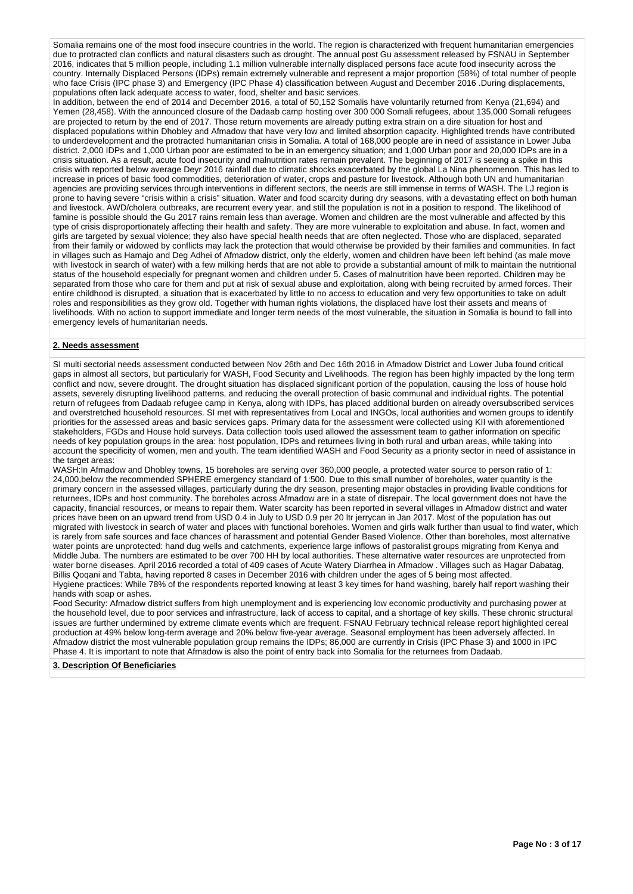Somalia remains one of the most food insecure countries in the world. The region is characterized with frequent humanitarian emergencies due to protracted clan conflicts and natural disasters such as drought. The annual post Gu assessment released by FSNAU in September 2016, indicates that 5 million people, including 1.1 million vulnerable internally displaced persons face acute food insecurity across the country. Internally Displaced Persons (IDPs) remain extremely vulnerable and represent a major proportion (58%) of total number of people who face Crisis (IPC phase 3) and Emergency (IPC Phase 4) classification between August and December 2016 .During displacements, populations often lack adequate access to water, food, shelter and basic services.

In addition, between the end of 2014 and December 2016, a total of 50,152 Somalis have voluntarily returned from Kenya (21,694) and Yemen (28,458). With the announced closure of the Dadaab camp hosting over 300 000 Somali refugees, about 135,000 Somali refugees are projected to return by the end of 2017. Those return movements are already putting extra strain on a dire situation for host and displaced populations within Dhobley and Afmadow that have very low and limited absorption capacity. Highlighted trends have contributed to underdevelopment and the protracted humanitarian crisis in Somalia. A total of 168,000 people are in need of assistance in Lower Juba district. 2,000 IDPs and 1,000 Urban poor are estimated to be in an emergency situation; and 1,000 Urban poor and 20,000 IDPs are in a crisis situation. As a result, acute food insecurity and malnutrition rates remain prevalent. The beginning of 2017 is seeing a spike in this crisis with reported below average Deyr 2016 rainfall due to climatic shocks exacerbated by the global La Nina phenomenon. This has led to increase in prices of basic food commodities, deterioration of water, crops and pasture for livestock. Although both UN and humanitarian agencies are providing services through interventions in different sectors, the needs are still immense in terms of WASH. The LJ region is prone to having severe "crisis within a crisis" situation. Water and food scarcity during dry seasons, with a devastating effect on both human and livestock. AWD/cholera outbreaks, are recurrent every year, and still the population is not in a position to respond. The likelihood of famine is possible should the Gu 2017 rains remain less than average. Women and children are the most vulnerable and affected by this type of crisis disproportionately affecting their health and safety. They are more vulnerable to exploitation and abuse. In fact, women and girls are targeted by sexual violence; they also have special health needs that are often neglected. Those who are displaced, separated from their family or widowed by conflicts may lack the protection that would otherwise be provided by their families and communities. In fact in villages such as Hamajo and Deg Adhei of Afmadow district, only the elderly, women and children have been left behind (as male move with livestock in search of water) with a few milking herds that are not able to provide a substantial amount of milk to maintain the nutritional status of the household especially for pregnant women and children under 5. Cases of malnutrition have been reported. Children may be separated from those who care for them and put at risk of sexual abuse and exploitation, along with being recruited by armed forces. Their entire childhood is disrupted, a situation that is exacerbated by little to no access to education and very few opportunities to take on adult roles and responsibilities as they grow old. Together with human rights violations, the displaced have lost their assets and means of livelihoods. With no action to support immediate and longer term needs of the most vulnerable, the situation in Somalia is bound to fall into emergency levels of humanitarian needs.

### **2. Needs assessment**

SI multi sectorial needs assessment conducted between Nov 26th and Dec 16th 2016 in Afmadow District and Lower Juba found critical gaps in almost all sectors, but particularly for WASH, Food Security and Livelihoods. The region has been highly impacted by the long term conflict and now, severe drought. The drought situation has displaced significant portion of the population, causing the loss of house hold assets, severely disrupting livelihood patterns, and reducing the overall protection of basic communal and individual rights. The potential return of refugees from Dadaab refugee camp in Kenya, along with IDPs, has placed additional burden on already oversubscribed services and overstretched household resources. SI met with representatives from Local and INGOs, local authorities and women groups to identify priorities for the assessed areas and basic services gaps. Primary data for the assessment were collected using KII with aforementioned stakeholders, FGDs and House hold surveys. Data collection tools used allowed the assessment team to gather information on specific needs of key population groups in the area: host population, IDPs and returnees living in both rural and urban areas, while taking into account the specificity of women, men and youth. The team identified WASH and Food Security as a priority sector in need of assistance in the target areas:

WASH:In Afmadow and Dhobley towns, 15 boreholes are serving over 360,000 people, a protected water source to person ratio of 1: 24,000,below the recommended SPHERE emergency standard of 1:500. Due to this small number of boreholes, water quantity is the primary concern in the assessed villages, particularly during the dry season, presenting major obstacles in providing livable conditions for returnees, IDPs and host community. The boreholes across Afmadow are in a state of disrepair. The local government does not have the capacity, financial resources, or means to repair them. Water scarcity has been reported in several villages in Afmadow district and water prices have been on an upward trend from USD 0.4 in July to USD 0.9 per 20 ltr jerrycan in Jan 2017. Most of the population has out migrated with livestock in search of water and places with functional boreholes. Women and girls walk further than usual to find water, which is rarely from safe sources and face chances of harassment and potential Gender Based Violence. Other than boreholes, most alternative water points are unprotected: hand dug wells and catchments, experience large inflows of pastoralist groups migrating from Kenya and Middle Juba. The numbers are estimated to be over 700 HH by local authorities. These alternative water resources are unprotected from water borne diseases. April 2016 recorded a total of 409 cases of Acute Watery Diarrhea in Afmadow . Villages such as Hagar Dabatag, Billis Qoqani and Tabta, having reported 8 cases in December 2016 with children under the ages of 5 being most affected. Hygiene practices: While 78% of the respondents reported knowing at least 3 key times for hand washing, barely half report washing their hands with soap or ashes.

Food Security: Afmadow district suffers from high unemployment and is experiencing low economic productivity and purchasing power at the household level, due to poor services and infrastructure, lack of access to capital, and a shortage of key skills. These chronic structural issues are further undermined by extreme climate events which are frequent. FSNAU February technical release report highlighted cereal production at 49% below long-term average and 20% below five-year average. Seasonal employment has been adversely affected. In Afmadow district the most vulnerable population group remains the IDPs; 86,000 are currently in Crisis (IPC Phase 3) and 1000 in IPC Phase 4. It is important to note that Afmadow is also the point of entry back into Somalia for the returnees from Dadaab.

#### **3. Description Of Beneficiaries**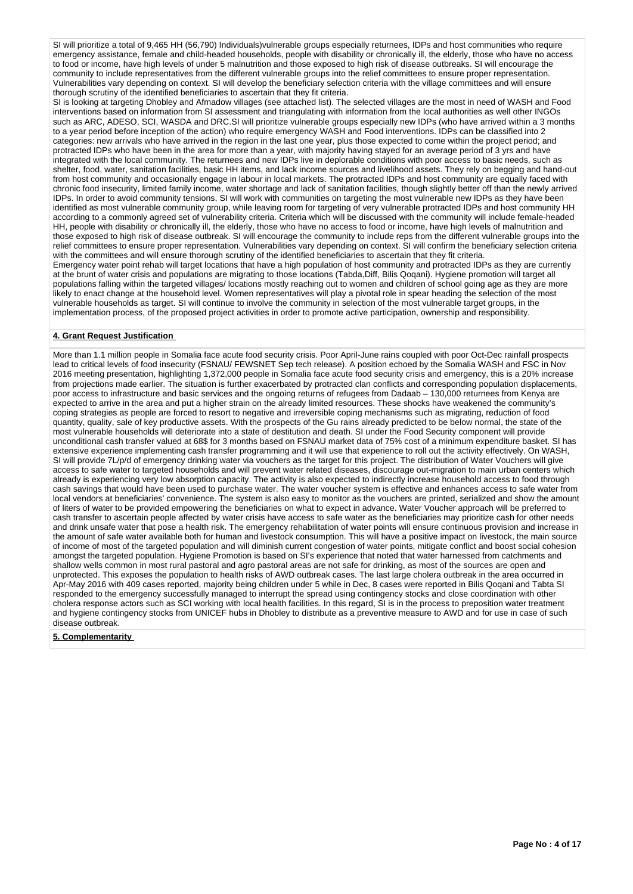SI will prioritize a total of 9,465 HH (56,790) Individuals)vulnerable groups especially returnees, IDPs and host communities who require emergency assistance, female and child-headed households, people with disability or chronically ill, the elderly, those who have no access to food or income, have high levels of under 5 malnutrition and those exposed to high risk of disease outbreaks. SI will encourage the community to include representatives from the different vulnerable groups into the relief committees to ensure proper representation. Vulnerabilities vary depending on context. SI will develop the beneficiary selection criteria with the village committees and will ensure thorough scrutiny of the identified beneficiaries to ascertain that they fit criteria.

SI is looking at targeting Dhobley and Afmadow villages (see attached list). The selected villages are the most in need of WASH and Food interventions based on information from SI assessment and triangulating with information from the local authorities as well other INGOs such as ARC, ADESO, SCI, WASDA and DRC.SI will prioritize vulnerable groups especially new IDPs (who have arrived within a 3 months to a year period before inception of the action) who require emergency WASH and Food interventions. IDPs can be classified into 2 categories: new arrivals who have arrived in the region in the last one year, plus those expected to come within the project period; and protracted IDPs who have been in the area for more than a year, with majority having stayed for an average period of 3 yrs and have integrated with the local community. The returnees and new IDPs live in deplorable conditions with poor access to basic needs, such as shelter, food, water, sanitation facilities, basic HH items, and lack income sources and livelihood assets. They rely on begging and hand-out from host community and occasionally engage in labour in local markets. The protracted IDPs and host community are equally faced with chronic food insecurity, limited family income, water shortage and lack of sanitation facilities, though slightly better off than the newly arrived IDPs. In order to avoid community tensions, SI will work with communities on targeting the most vulnerable new IDPs as they have been identified as most vulnerable community group, while leaving room for targeting of very vulnerable protracted IDPs and host community HH according to a commonly agreed set of vulnerability criteria. Criteria which will be discussed with the community will include female-headed HH, people with disability or chronically ill, the elderly, those who have no access to food or income, have high levels of malnutrition and those exposed to high risk of disease outbreak. SI will encourage the community to include reps from the different vulnerable groups into the relief committees to ensure proper representation. Vulnerabilities vary depending on context. SI will confirm the beneficiary selection criteria with the committees and will ensure thorough scrutiny of the identified beneficiaries to ascertain that they fit criteria. Emergency water point rehab will target locations that have a high population of host community and protracted IDPs as they are currently at the brunt of water crisis and populations are migrating to those locations (Tabda,Diff, Bilis Qoqani). Hygiene promotion will target all populations falling within the targeted villages/ locations mostly reaching out to women and children of school going age as they are more likely to enact change at the household level. Women representatives will play a pivotal role in spear heading the selection of the most vulnerable households as target. SI will continue to involve the community in selection of the most vulnerable target groups, in the

implementation process, of the proposed project activities in order to promote active participation, ownership and responsibility.

### **4. Grant Request Justification**

More than 1.1 million people in Somalia face acute food security crisis. Poor April-June rains coupled with poor Oct-Dec rainfall prospects lead to critical levels of food insecurity (FSNAU/ FEWSNET Sep tech release). A position echoed by the Somalia WASH and FSC in Nov 2016 meeting presentation, highlighting 1,372,000 people in Somalia face acute food security crisis and emergency, this is a 20% increase from projections made earlier. The situation is further exacerbated by protracted clan conflicts and corresponding population displacements, poor access to infrastructure and basic services and the ongoing returns of refugees from Dadaab – 130,000 returnees from Kenya are expected to arrive in the area and put a higher strain on the already limited resources. These shocks have weakened the community's coping strategies as people are forced to resort to negative and irreversible coping mechanisms such as migrating, reduction of food quantity, quality, sale of key productive assets. With the prospects of the Gu rains already predicted to be below normal, the state of the most vulnerable households will deteriorate into a state of destitution and death. SI under the Food Security component will provide unconditional cash transfer valued at 68\$ for 3 months based on FSNAU market data of 75% cost of a minimum expenditure basket. SI has extensive experience implementing cash transfer programming and it will use that experience to roll out the activity effectively. On WASH, SI will provide 7L/p/d of emergency drinking water via vouchers as the target for this project. The distribution of Water Vouchers will give access to safe water to targeted households and will prevent water related diseases, discourage out-migration to main urban centers which already is experiencing very low absorption capacity. The activity is also expected to indirectly increase household access to food through cash savings that would have been used to purchase water. The water voucher system is effective and enhances access to safe water from local vendors at beneficiaries' convenience. The system is also easy to monitor as the vouchers are printed, serialized and show the amount of liters of water to be provided empowering the beneficiaries on what to expect in advance. Water Voucher approach will be preferred to cash transfer to ascertain people affected by water crisis have access to safe water as the beneficiaries may prioritize cash for other needs and drink unsafe water that pose a health risk. The emergency rehabilitation of water points will ensure continuous provision and increase in the amount of safe water available both for human and livestock consumption. This will have a positive impact on livestock, the main source of income of most of the targeted population and will diminish current congestion of water points, mitigate conflict and boost social cohesion amongst the targeted population. Hygiene Promotion is based on SI's experience that noted that water harnessed from catchments and shallow wells common in most rural pastoral and agro pastoral areas are not safe for drinking, as most of the sources are open and unprotected. This exposes the population to health risks of AWD outbreak cases. The last large cholera outbreak in the area occurred in Apr-May 2016 with 409 cases reported, majority being children under 5 while in Dec, 8 cases were reported in Bilis Qoqani and Tabta SI responded to the emergency successfully managed to interrupt the spread using contingency stocks and close coordination with other cholera response actors such as SCI working with local health facilities. In this regard, SI is in the process to preposition water treatment and hygiene contingency stocks from UNICEF hubs in Dhobley to distribute as a preventive measure to AWD and for use in case of such disease outbreak.

### **5. Complementarity**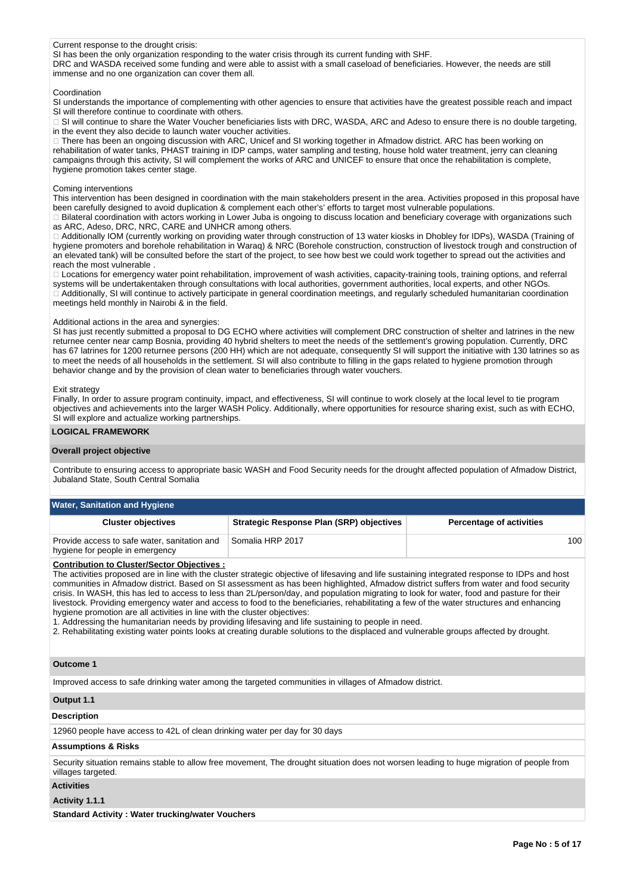### Current response to the drought crisis:

SI has been the only organization responding to the water crisis through its current funding with SHF.

DRC and WASDA received some funding and were able to assist with a small caseload of beneficiaries. However, the needs are still immense and no one organization can cover them all.

#### Coordination

SI understands the importance of complementing with other agencies to ensure that activities have the greatest possible reach and impact SI will therefore continue to coordinate with others.

SI will continue to share the Water Voucher beneficiaries lists with DRC, WASDA, ARC and Adeso to ensure there is no double targeting, in the event they also decide to launch water voucher activities.

□ There has been an ongoing discussion with ARC, Unicef and SI working together in Afmadow district. ARC has been working on rehabilitation of water tanks, PHAST training in IDP camps, water sampling and testing, house hold water treatment, jerry can cleaning campaigns through this activity, SI will complement the works of ARC and UNICEF to ensure that once the rehabilitation is complete, hygiene promotion takes center stage.

#### Coming interventions

This intervention has been designed in coordination with the main stakeholders present in the area. Activities proposed in this proposal have been carefully designed to avoid duplication & complement each other's' efforts to target most vulnerable populations.

□ Bilateral coordination with actors working in Lower Juba is ongoing to discuss location and beneficiary coverage with organizations such as ARC, Adeso, DRC, NRC, CARE and UNHCR among others.

□ Additionally IOM (currently working on providing water through construction of 13 water kiosks in Dhobley for IDPs), WASDA (Training of hygiene promoters and borehole rehabilitation in Waraq) & NRC (Borehole construction, construction of livestock trough and construction of an elevated tank) will be consulted before the start of the project, to see how best we could work together to spread out the activities and reach the most vulnerable .

□ Locations for emergency water point rehabilitation, improvement of wash activities, capacity-training tools, training options, and referral systems will be undertakentaken through consultations with local authorities, government authorities, local experts, and other NGOs. Additionally, SI will continue to actively participate in general coordination meetings, and regularly scheduled humanitarian coordination meetings held monthly in Nairobi & in the field.

### Additional actions in the area and synergies:

SI has just recently submitted a proposal to DG ECHO where activities will complement DRC construction of shelter and latrines in the new returnee center near camp Bosnia, providing 40 hybrid shelters to meet the needs of the settlement's growing population. Currently, DRC has 67 latrines for 1200 returnee persons (200 HH) which are not adequate, consequently SI will support the initiative with 130 latrines so as to meet the needs of all households in the settlement. SI will also contribute to filling in the gaps related to hygiene promotion through behavior change and by the provision of clean water to beneficiaries through water vouchers.

#### Exit strategy

Finally, In order to assure program continuity, impact, and effectiveness, SI will continue to work closely at the local level to tie program objectives and achievements into the larger WASH Policy. Additionally, where opportunities for resource sharing exist, such as with ECHO, SI will explore and actualize working partnerships.

### **LOGICAL FRAMEWORK**

### **Overall project objective**

Contribute to ensuring access to appropriate basic WASH and Food Security needs for the drought affected population of Afmadow District, Jubaland State, South Central Somalia

| <b>Water, Sanitation and Hygiene</b>                                            |                                                 |                                 |  |  |  |  |  |  |  |  |
|---------------------------------------------------------------------------------|-------------------------------------------------|---------------------------------|--|--|--|--|--|--|--|--|
| <b>Cluster objectives</b>                                                       | <b>Strategic Response Plan (SRP) objectives</b> | <b>Percentage of activities</b> |  |  |  |  |  |  |  |  |
| Provide access to safe water, sanitation and<br>hygiene for people in emergency | Somalia HRP 2017                                | 100                             |  |  |  |  |  |  |  |  |

# **Contribution to Cluster/Sector Objectives :**

The activities proposed are in line with the cluster strategic objective of lifesaving and life sustaining integrated response to IDPs and host communities in Afmadow district. Based on SI assessment as has been highlighted, Afmadow district suffers from water and food security crisis. In WASH, this has led to access to less than 2L/person/day, and population migrating to look for water, food and pasture for their livestock. Providing emergency water and access to food to the beneficiaries, rehabilitating a few of the water structures and enhancing hygiene promotion are all activities in line with the cluster objectives:

1. Addressing the humanitarian needs by providing lifesaving and life sustaining to people in need.

2. Rehabilitating existing water points looks at creating durable solutions to the displaced and vulnerable groups affected by drought.

### **Outcome 1**

Improved access to safe drinking water among the targeted communities in villages of Afmadow district.

### **Output 1.1**

### **Description**

12960 people have access to 42L of clean drinking water per day for 30 days

### **Assumptions & Risks**

Security situation remains stable to allow free movement, The drought situation does not worsen leading to huge migration of people from villages targeted.

#### **Activities**

### **Activity 1.1.1**

**Standard Activity : Water trucking/water Vouchers**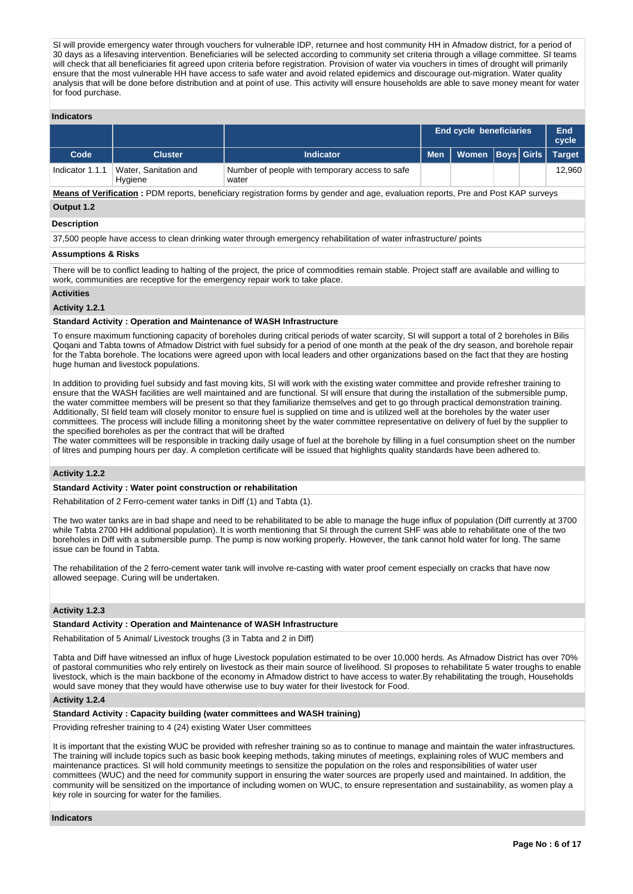SI will provide emergency water through vouchers for vulnerable IDP, returnee and host community HH in Afmadow district, for a period of 30 days as a lifesaving intervention. Beneficiaries will be selected according to community set criteria through a village committee. SI teams will check that all beneficiaries fit agreed upon criteria before registration. Provision of water via vouchers in times of drought will primarily ensure that the most vulnerable HH have access to safe water and avoid related epidemics and discourage out-migration. Water quality analysis that will be done before distribution and at point of use. This activity will ensure households are able to save money meant for water for food purchase.

### **Indicators**

|                 |                                  |                                                         |                                        | <b>End cycle beneficiaries</b> |  |  |        |
|-----------------|----------------------------------|---------------------------------------------------------|----------------------------------------|--------------------------------|--|--|--------|
| Code            | <b>Cluster</b>                   | <b>Indicator</b>                                        | Women   Boys   Girls   Target<br>Men I |                                |  |  |        |
| Indicator 1.1.1 | Water, Sanitation and<br>Hygiene | Number of people with temporary access to safe<br>water |                                        |                                |  |  | 12.960 |

**Means of Verification :** PDM reports, beneficiary registration forms by gender and age, evaluation reports, Pre and Post KAP surveys **Output 1.2**

# **Description**

37,500 people have access to clean drinking water through emergency rehabilitation of water infrastructure/ points

## **Assumptions & Risks**

There will be to conflict leading to halting of the project, the price of commodities remain stable. Project staff are available and willing to work, communities are receptive for the emergency repair work to take place.

#### **Activities**

# **Activity 1.2.1**

### **Standard Activity : Operation and Maintenance of WASH Infrastructure**

To ensure maximum functioning capacity of boreholes during critical periods of water scarcity, SI will support a total of 2 boreholes in Bilis Qoqani and Tabta towns of Afmadow District with fuel subsidy for a period of one month at the peak of the dry season, and borehole repair for the Tabta borehole. The locations were agreed upon with local leaders and other organizations based on the fact that they are hosting huge human and livestock populations.

In addition to providing fuel subsidy and fast moving kits, SI will work with the existing water committee and provide refresher training to ensure that the WASH facilities are well maintained and are functional. SI will ensure that during the installation of the submersible pump, the water committee members will be present so that they familiarize themselves and get to go through practical demonstration training. Additionally, SI field team will closely monitor to ensure fuel is supplied on time and is utilized well at the boreholes by the water user committees. The process will include filling a monitoring sheet by the water committee representative on delivery of fuel by the supplier to the specified boreholes as per the contract that will be drafted

The water committees will be responsible in tracking daily usage of fuel at the borehole by filling in a fuel consumption sheet on the number of litres and pumping hours per day. A completion certificate will be issued that highlights quality standards have been adhered to.

### **Activity 1.2.2**

### **Standard Activity : Water point construction or rehabilitation**

Rehabilitation of 2 Ferro-cement water tanks in Diff (1) and Tabta (1).

The two water tanks are in bad shape and need to be rehabilitated to be able to manage the huge influx of population (Diff currently at 3700 while Tabta 2700 HH additional population). It is worth mentioning that SI through the current SHF was able to rehabilitate one of the two boreholes in Diff with a submersible pump. The pump is now working properly. However, the tank cannot hold water for long. The same issue can be found in Tabta.

The rehabilitation of the 2 ferro-cement water tank will involve re-casting with water proof cement especially on cracks that have now allowed seepage. Curing will be undertaken.

# **Activity 1.2.3**

### **Standard Activity : Operation and Maintenance of WASH Infrastructure**

Rehabilitation of 5 Animal/ Livestock troughs (3 in Tabta and 2 in Diff)

Tabta and Diff have witnessed an influx of huge Livestock population estimated to be over 10,000 herds. As Afmadow District has over 70% of pastoral communities who rely entirely on livestock as their main source of livelihood. SI proposes to rehabilitate 5 water troughs to enable livestock, which is the main backbone of the economy in Afmadow district to have access to water.By rehabilitating the trough, Households would save money that they would have otherwise use to buy water for their livestock for Food.

#### **Activity 1.2.4**

### **Standard Activity : Capacity building (water committees and WASH training)**

Providing refresher training to 4 (24) existing Water User committees

It is important that the existing WUC be provided with refresher training so as to continue to manage and maintain the water infrastructures. The training will include topics such as basic book keeping methods, taking minutes of meetings, explaining roles of WUC members and maintenance practices. SI will hold community meetings to sensitize the population on the roles and responsibilities of water user committees (WUC) and the need for community support in ensuring the water sources are properly used and maintained. In addition, the community will be sensitized on the importance of including women on WUC, to ensure representation and sustainability, as women play a key role in sourcing for water for the families.

#### **Indicators**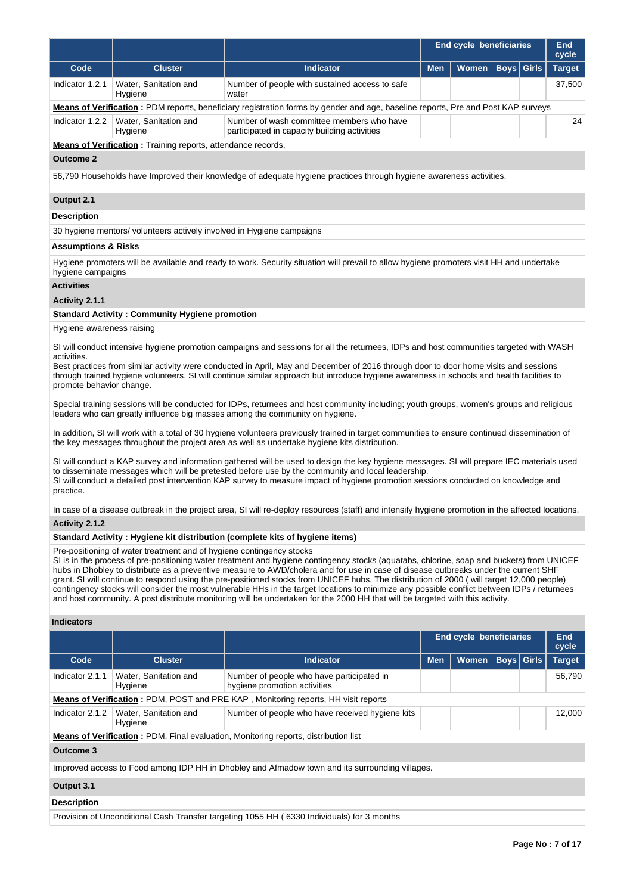|                                         |                                                                                                                                                                                                                                                                                                                                                                                                                             |                                                                                                                                                                                                                                                                                                                                                                                                                                                                                                                                                                                                                                                                                                               |            | End cycle beneficiaries        |             |              | <b>End</b><br>cycle |  |  |  |
|-----------------------------------------|-----------------------------------------------------------------------------------------------------------------------------------------------------------------------------------------------------------------------------------------------------------------------------------------------------------------------------------------------------------------------------------------------------------------------------|---------------------------------------------------------------------------------------------------------------------------------------------------------------------------------------------------------------------------------------------------------------------------------------------------------------------------------------------------------------------------------------------------------------------------------------------------------------------------------------------------------------------------------------------------------------------------------------------------------------------------------------------------------------------------------------------------------------|------------|--------------------------------|-------------|--------------|---------------------|--|--|--|
| Code                                    | <b>Cluster</b>                                                                                                                                                                                                                                                                                                                                                                                                              | <b>Indicator</b>                                                                                                                                                                                                                                                                                                                                                                                                                                                                                                                                                                                                                                                                                              | <b>Men</b> | Women                          | <b>Boys</b> | <b>Girls</b> | <b>Target</b>       |  |  |  |
| Indicator 1.2.1                         | Water, Sanitation and                                                                                                                                                                                                                                                                                                                                                                                                       | Number of people with sustained access to safe                                                                                                                                                                                                                                                                                                                                                                                                                                                                                                                                                                                                                                                                |            |                                |             |              | 37,500              |  |  |  |
|                                         | Hygiene<br>water                                                                                                                                                                                                                                                                                                                                                                                                            |                                                                                                                                                                                                                                                                                                                                                                                                                                                                                                                                                                                                                                                                                                               |            |                                |             |              |                     |  |  |  |
|                                         |                                                                                                                                                                                                                                                                                                                                                                                                                             | Means of Verification: PDM reports, beneficiary registration forms by gender and age, baseline reports, Pre and Post KAP surveys                                                                                                                                                                                                                                                                                                                                                                                                                                                                                                                                                                              |            |                                |             |              | 24                  |  |  |  |
| Indicator 1.2.2                         | Water, Sanitation and<br>Number of wash committee members who have<br>participated in capacity building activities<br>Hygiene                                                                                                                                                                                                                                                                                               |                                                                                                                                                                                                                                                                                                                                                                                                                                                                                                                                                                                                                                                                                                               |            |                                |             |              |                     |  |  |  |
|                                         | Means of Verification: Training reports, attendance records,                                                                                                                                                                                                                                                                                                                                                                |                                                                                                                                                                                                                                                                                                                                                                                                                                                                                                                                                                                                                                                                                                               |            |                                |             |              |                     |  |  |  |
| <b>Outcome 2</b>                        |                                                                                                                                                                                                                                                                                                                                                                                                                             |                                                                                                                                                                                                                                                                                                                                                                                                                                                                                                                                                                                                                                                                                                               |            |                                |             |              |                     |  |  |  |
|                                         |                                                                                                                                                                                                                                                                                                                                                                                                                             | 56,790 Households have Improved their knowledge of adequate hygiene practices through hygiene awareness activities.                                                                                                                                                                                                                                                                                                                                                                                                                                                                                                                                                                                           |            |                                |             |              |                     |  |  |  |
| Output 2.1                              |                                                                                                                                                                                                                                                                                                                                                                                                                             |                                                                                                                                                                                                                                                                                                                                                                                                                                                                                                                                                                                                                                                                                                               |            |                                |             |              |                     |  |  |  |
| <b>Description</b>                      |                                                                                                                                                                                                                                                                                                                                                                                                                             |                                                                                                                                                                                                                                                                                                                                                                                                                                                                                                                                                                                                                                                                                                               |            |                                |             |              |                     |  |  |  |
|                                         | 30 hygiene mentors/volunteers actively involved in Hygiene campaigns                                                                                                                                                                                                                                                                                                                                                        |                                                                                                                                                                                                                                                                                                                                                                                                                                                                                                                                                                                                                                                                                                               |            |                                |             |              |                     |  |  |  |
| <b>Assumptions &amp; Risks</b>          |                                                                                                                                                                                                                                                                                                                                                                                                                             |                                                                                                                                                                                                                                                                                                                                                                                                                                                                                                                                                                                                                                                                                                               |            |                                |             |              |                     |  |  |  |
| hygiene campaigns                       |                                                                                                                                                                                                                                                                                                                                                                                                                             | Hygiene promoters will be available and ready to work. Security situation will prevail to allow hygiene promoters visit HH and undertake                                                                                                                                                                                                                                                                                                                                                                                                                                                                                                                                                                      |            |                                |             |              |                     |  |  |  |
| <b>Activities</b>                       |                                                                                                                                                                                                                                                                                                                                                                                                                             |                                                                                                                                                                                                                                                                                                                                                                                                                                                                                                                                                                                                                                                                                                               |            |                                |             |              |                     |  |  |  |
| Activity 2.1.1                          |                                                                                                                                                                                                                                                                                                                                                                                                                             |                                                                                                                                                                                                                                                                                                                                                                                                                                                                                                                                                                                                                                                                                                               |            |                                |             |              |                     |  |  |  |
|                                         | <b>Standard Activity: Community Hygiene promotion</b>                                                                                                                                                                                                                                                                                                                                                                       |                                                                                                                                                                                                                                                                                                                                                                                                                                                                                                                                                                                                                                                                                                               |            |                                |             |              |                     |  |  |  |
| Hygiene awareness raising               |                                                                                                                                                                                                                                                                                                                                                                                                                             |                                                                                                                                                                                                                                                                                                                                                                                                                                                                                                                                                                                                                                                                                                               |            |                                |             |              |                     |  |  |  |
| activities.<br>promote behavior change. | SI will conduct intensive hygiene promotion campaigns and sessions for all the returnees, IDPs and host communities targeted with WASH<br>Best practices from similar activity were conducted in April, May and December of 2016 through door to door home visits and sessions<br>through trained hygiene volunteers. SI will continue similar approach but introduce hygiene awareness in schools and health facilities to |                                                                                                                                                                                                                                                                                                                                                                                                                                                                                                                                                                                                                                                                                                               |            |                                |             |              |                     |  |  |  |
|                                         |                                                                                                                                                                                                                                                                                                                                                                                                                             | Special training sessions will be conducted for IDPs, returnees and host community including; youth groups, women's groups and religious                                                                                                                                                                                                                                                                                                                                                                                                                                                                                                                                                                      |            |                                |             |              |                     |  |  |  |
|                                         |                                                                                                                                                                                                                                                                                                                                                                                                                             | leaders who can greatly influence big masses among the community on hygiene.                                                                                                                                                                                                                                                                                                                                                                                                                                                                                                                                                                                                                                  |            |                                |             |              |                     |  |  |  |
|                                         |                                                                                                                                                                                                                                                                                                                                                                                                                             | In addition, SI will work with a total of 30 hygiene volunteers previously trained in target communities to ensure continued dissemination of<br>the key messages throughout the project area as well as undertake hygiene kits distribution.                                                                                                                                                                                                                                                                                                                                                                                                                                                                 |            |                                |             |              |                     |  |  |  |
| practice.                               |                                                                                                                                                                                                                                                                                                                                                                                                                             | SI will conduct a KAP survey and information gathered will be used to design the key hygiene messages. SI will prepare IEC materials used<br>to disseminate messages which will be pretested before use by the community and local leadership.<br>SI will conduct a detailed post intervention KAP survey to measure impact of hygiene promotion sessions conducted on knowledge and                                                                                                                                                                                                                                                                                                                          |            |                                |             |              |                     |  |  |  |
|                                         |                                                                                                                                                                                                                                                                                                                                                                                                                             | In case of a disease outbreak in the project area, SI will re-deploy resources (staff) and intensify hygiene promotion in the affected locations.                                                                                                                                                                                                                                                                                                                                                                                                                                                                                                                                                             |            |                                |             |              |                     |  |  |  |
| Activity 2.1.2                          |                                                                                                                                                                                                                                                                                                                                                                                                                             |                                                                                                                                                                                                                                                                                                                                                                                                                                                                                                                                                                                                                                                                                                               |            |                                |             |              |                     |  |  |  |
|                                         |                                                                                                                                                                                                                                                                                                                                                                                                                             | Standard Activity : Hygiene kit distribution (complete kits of hygiene items)                                                                                                                                                                                                                                                                                                                                                                                                                                                                                                                                                                                                                                 |            |                                |             |              |                     |  |  |  |
|                                         | Pre-positioning of water treatment and of hygiene contingency stocks                                                                                                                                                                                                                                                                                                                                                        | SI is in the process of pre-positioning water treatment and hygiene contingency stocks (aquatabs, chlorine, soap and buckets) from UNICEF<br>hubs in Dhobley to distribute as a preventive measure to AWD/cholera and for use in case of disease outbreaks under the current SHF<br>grant. SI will continue to respond using the pre-positioned stocks from UNICEF hubs. The distribution of 2000 (will target 12,000 people)<br>contingency stocks will consider the most vulnerable HHs in the target locations to minimize any possible conflict between IDPs / returnees<br>and host community. A post distribute monitoring will be undertaken for the 2000 HH that will be targeted with this activity. |            |                                |             |              |                     |  |  |  |
| <b>Indicators</b>                       |                                                                                                                                                                                                                                                                                                                                                                                                                             |                                                                                                                                                                                                                                                                                                                                                                                                                                                                                                                                                                                                                                                                                                               |            |                                |             |              |                     |  |  |  |
|                                         |                                                                                                                                                                                                                                                                                                                                                                                                                             |                                                                                                                                                                                                                                                                                                                                                                                                                                                                                                                                                                                                                                                                                                               |            | <b>End cycle beneficiaries</b> |             |              | <b>End</b><br>cycle |  |  |  |
| Code                                    | <b>Cluster</b>                                                                                                                                                                                                                                                                                                                                                                                                              | <b>Indicator</b>                                                                                                                                                                                                                                                                                                                                                                                                                                                                                                                                                                                                                                                                                              | Men        | <b>Women</b>                   | <b>Boys</b> | <b>Girls</b> | <b>Target</b>       |  |  |  |
| Indicator 2.1.1                         | Water, Sanitation and<br>Hygiene                                                                                                                                                                                                                                                                                                                                                                                            | Number of people who have participated in<br>hygiene promotion activities                                                                                                                                                                                                                                                                                                                                                                                                                                                                                                                                                                                                                                     |            |                                |             |              | 56,790              |  |  |  |
|                                         |                                                                                                                                                                                                                                                                                                                                                                                                                             | Means of Verification: PDM, POST and PRE KAP, Monitoring reports, HH visit reports                                                                                                                                                                                                                                                                                                                                                                                                                                                                                                                                                                                                                            |            |                                |             |              |                     |  |  |  |
| Indicator 2.1.2                         | Water, Sanitation and<br>Hygiene                                                                                                                                                                                                                                                                                                                                                                                            | Number of people who have received hygiene kits                                                                                                                                                                                                                                                                                                                                                                                                                                                                                                                                                                                                                                                               |            |                                |             |              | 12,000              |  |  |  |
|                                         |                                                                                                                                                                                                                                                                                                                                                                                                                             | <b>Means of Verification:</b> PDM, Final evaluation, Monitoring reports, distribution list                                                                                                                                                                                                                                                                                                                                                                                                                                                                                                                                                                                                                    |            |                                |             |              |                     |  |  |  |
| Outcome 3                               |                                                                                                                                                                                                                                                                                                                                                                                                                             |                                                                                                                                                                                                                                                                                                                                                                                                                                                                                                                                                                                                                                                                                                               |            |                                |             |              |                     |  |  |  |
|                                         |                                                                                                                                                                                                                                                                                                                                                                                                                             | Improved access to Food among IDP HH in Dhobley and Afmadow town and its surrounding villages.                                                                                                                                                                                                                                                                                                                                                                                                                                                                                                                                                                                                                |            |                                |             |              |                     |  |  |  |

# **Output 3.1**

# **Description**

Provision of Unconditional Cash Transfer targeting 1055 HH ( 6330 Individuals) for 3 months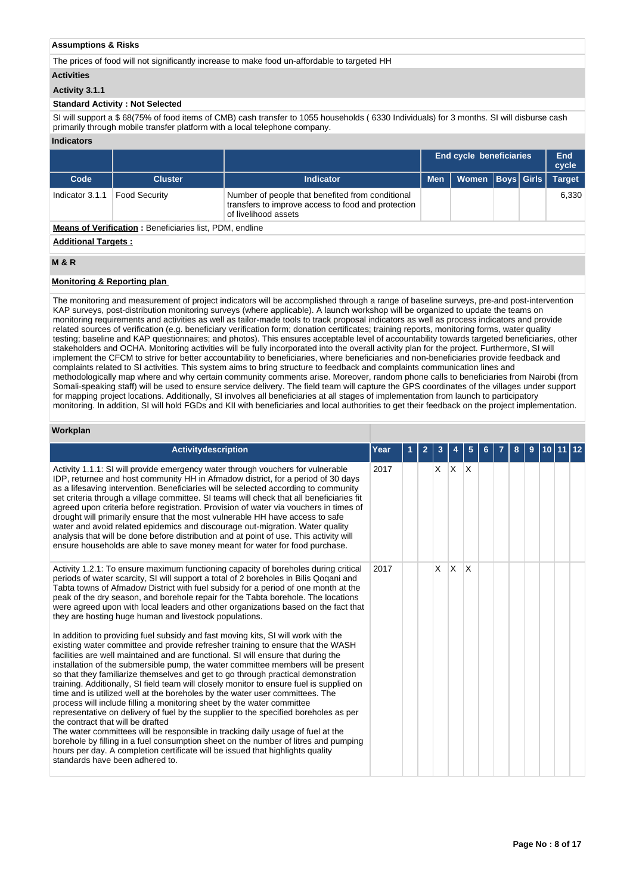# **Assumptions & Risks**

The prices of food will not significantly increase to make food un-affordable to targeted HH

### **Activities**

# **Activity 3.1.1**

# **Standard Activity : Not Selected**

SI will support a \$ 68(75% of food items of CMB) cash transfer to 1055 households ( 6330 Individuals) for 3 months. SI will disburse cash primarily through mobile transfer platform with a local telephone company.

### **Indicators**

|                                                                |                            |                                                                                                                                |            |       | <b>End cycle beneficiaries</b><br>End<br>cycle |  |               |  |  |  |
|----------------------------------------------------------------|----------------------------|--------------------------------------------------------------------------------------------------------------------------------|------------|-------|------------------------------------------------|--|---------------|--|--|--|
| Code                                                           | <b>Cluster</b>             | Indicator                                                                                                                      | <b>Men</b> | Women | <b>Boys Girls</b>                              |  | <b>Target</b> |  |  |  |
| Indicator 3.1.1                                                | <b>Food Security</b>       | Number of people that benefited from conditional<br>transfers to improve access to food and protection<br>of livelihood assets |            |       |                                                |  | 6.330         |  |  |  |
| <b>Means of Verification: Beneficiaries list, PDM, endline</b> |                            |                                                                                                                                |            |       |                                                |  |               |  |  |  |
|                                                                | <b>Additional Targets:</b> |                                                                                                                                |            |       |                                                |  |               |  |  |  |

# **M & R**

# **Monitoring & Reporting plan**

The monitoring and measurement of project indicators will be accomplished through a range of baseline surveys, pre-and post-intervention KAP surveys, post-distribution monitoring surveys (where applicable). A launch workshop will be organized to update the teams on monitoring requirements and activities as well as tailor-made tools to track proposal indicators as well as process indicators and provide related sources of verification (e.g. beneficiary verification form; donation certificates; training reports, monitoring forms, water quality testing; baseline and KAP questionnaires; and photos). This ensures acceptable level of accountability towards targeted beneficiaries, other stakeholders and OCHA. Monitoring activities will be fully incorporated into the overall activity plan for the project. Furthermore, SI will implement the CFCM to strive for better accountability to beneficiaries, where beneficiaries and non-beneficiaries provide feedback and complaints related to SI activities. This system aims to bring structure to feedback and complaints communication lines and methodologically map where and why certain community comments arise. Moreover, random phone calls to beneficiaries from Nairobi (from Somali-speaking staff) will be used to ensure service delivery. The field team will capture the GPS coordinates of the villages under support for mapping project locations. Additionally, SI involves all beneficiaries at all stages of implementation from launch to participatory monitoring. In addition, SI will hold FGDs and KII with beneficiaries and local authorities to get their feedback on the project implementation.

# **Workplan**

| <b>Activitydescription</b>                                                                                                                                                                                                                                                                                                                                                                                                                                                                                                                                                                                                                                                                                                                                                                                                                                                                                                                                                                                                                                                                                                                                                                                                                                                                                                                                                                                                                                                                                                                                                                                                       | Year |  |            |   | 5            |  | 8 |  |  |
|----------------------------------------------------------------------------------------------------------------------------------------------------------------------------------------------------------------------------------------------------------------------------------------------------------------------------------------------------------------------------------------------------------------------------------------------------------------------------------------------------------------------------------------------------------------------------------------------------------------------------------------------------------------------------------------------------------------------------------------------------------------------------------------------------------------------------------------------------------------------------------------------------------------------------------------------------------------------------------------------------------------------------------------------------------------------------------------------------------------------------------------------------------------------------------------------------------------------------------------------------------------------------------------------------------------------------------------------------------------------------------------------------------------------------------------------------------------------------------------------------------------------------------------------------------------------------------------------------------------------------------|------|--|------------|---|--------------|--|---|--|--|
| Activity 1.1.1: SI will provide emergency water through vouchers for vulnerable<br>IDP, returnee and host community HH in Afmadow district, for a period of 30 days<br>as a lifesaving intervention. Beneficiaries will be selected according to community<br>set criteria through a village committee. SI teams will check that all beneficiaries fit<br>agreed upon criteria before registration. Provision of water via vouchers in times of<br>drought will primarily ensure that the most vulnerable HH have access to safe<br>water and avoid related epidemics and discourage out-migration. Water quality<br>analysis that will be done before distribution and at point of use. This activity will<br>ensure households are able to save money meant for water for food purchase.                                                                                                                                                                                                                                                                                                                                                                                                                                                                                                                                                                                                                                                                                                                                                                                                                                       | 2017 |  | $x \mid x$ |   | $\mathsf{X}$ |  |   |  |  |
| Activity 1.2.1: To ensure maximum functioning capacity of boreholes during critical<br>periods of water scarcity, SI will support a total of 2 boreholes in Bilis Qoqani and<br>Tabta towns of Afmadow District with fuel subsidy for a period of one month at the<br>peak of the dry season, and borehole repair for the Tabta borehole. The locations<br>were agreed upon with local leaders and other organizations based on the fact that<br>they are hosting huge human and livestock populations.<br>In addition to providing fuel subsidy and fast moving kits, SI will work with the<br>existing water committee and provide refresher training to ensure that the WASH<br>facilities are well maintained and are functional. SI will ensure that during the<br>installation of the submersible pump, the water committee members will be present<br>so that they familiarize themselves and get to go through practical demonstration<br>training. Additionally, SI field team will closely monitor to ensure fuel is supplied on<br>time and is utilized well at the boreholes by the water user committees. The<br>process will include filling a monitoring sheet by the water committee<br>representative on delivery of fuel by the supplier to the specified boreholes as per<br>the contract that will be drafted<br>The water committees will be responsible in tracking daily usage of fuel at the<br>borehole by filling in a fuel consumption sheet on the number of litres and pumping<br>hours per day. A completion certificate will be issued that highlights quality<br>standards have been adhered to. | 2017 |  | X          | X | $\times$     |  |   |  |  |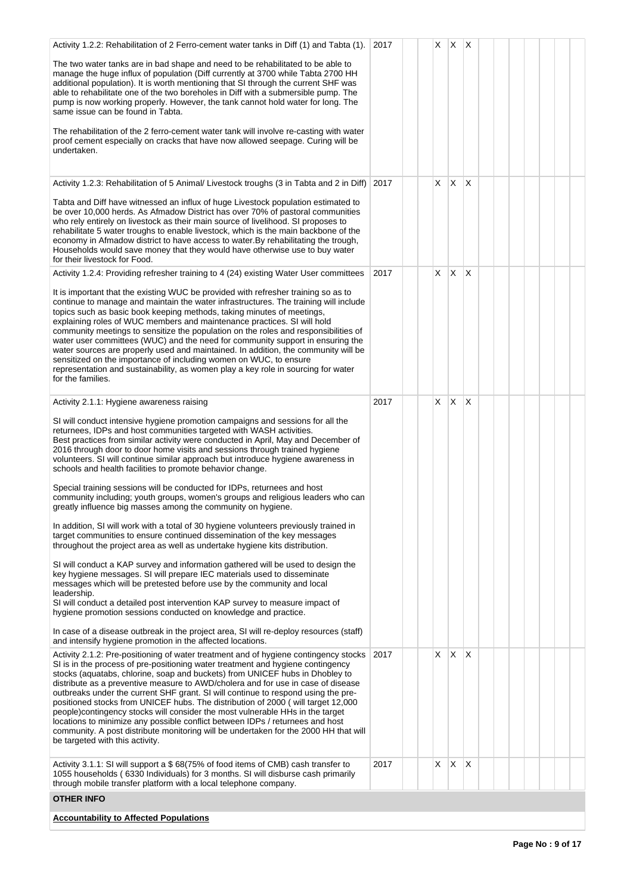| Activity 1.2.2: Rehabilitation of 2 Ferro-cement water tanks in Diff (1) and Tabta (1).                                                                                                                                                                                                                                                                                                                                                                                                                                                                                                                                                                                                                                                                                                                           | 2017 | X. | $\mathsf{X}$ | $\times$                |  |  |
|-------------------------------------------------------------------------------------------------------------------------------------------------------------------------------------------------------------------------------------------------------------------------------------------------------------------------------------------------------------------------------------------------------------------------------------------------------------------------------------------------------------------------------------------------------------------------------------------------------------------------------------------------------------------------------------------------------------------------------------------------------------------------------------------------------------------|------|----|--------------|-------------------------|--|--|
| The two water tanks are in bad shape and need to be rehabilitated to be able to<br>manage the huge influx of population (Diff currently at 3700 while Tabta 2700 HH<br>additional population). It is worth mentioning that SI through the current SHF was<br>able to rehabilitate one of the two boreholes in Diff with a submersible pump. The<br>pump is now working properly. However, the tank cannot hold water for long. The<br>same issue can be found in Tabta.                                                                                                                                                                                                                                                                                                                                           |      |    |              |                         |  |  |
| The rehabilitation of the 2 ferro-cement water tank will involve re-casting with water<br>proof cement especially on cracks that have now allowed seepage. Curing will be<br>undertaken.                                                                                                                                                                                                                                                                                                                                                                                                                                                                                                                                                                                                                          |      |    |              |                         |  |  |
| Activity 1.2.3: Rehabilitation of 5 Animal/ Livestock troughs (3 in Tabta and 2 in Diff)                                                                                                                                                                                                                                                                                                                                                                                                                                                                                                                                                                                                                                                                                                                          | 2017 | X  | $\mathsf{X}$ | X                       |  |  |
| Tabta and Diff have witnessed an influx of huge Livestock population estimated to<br>be over 10,000 herds. As Afmadow District has over 70% of pastoral communities<br>who rely entirely on livestock as their main source of livelihood. SI proposes to<br>rehabilitate 5 water troughs to enable livestock, which is the main backbone of the<br>economy in Afmadow district to have access to water. By rehabilitating the trough,<br>Households would save money that they would have otherwise use to buy water<br>for their livestock for Food.                                                                                                                                                                                                                                                             |      |    |              |                         |  |  |
| Activity 1.2.4: Providing refresher training to 4 (24) existing Water User committees                                                                                                                                                                                                                                                                                                                                                                                                                                                                                                                                                                                                                                                                                                                             | 2017 | X. | $\mathsf{X}$ | $\overline{\mathsf{x}}$ |  |  |
| It is important that the existing WUC be provided with refresher training so as to<br>continue to manage and maintain the water infrastructures. The training will include<br>topics such as basic book keeping methods, taking minutes of meetings,<br>explaining roles of WUC members and maintenance practices. SI will hold<br>community meetings to sensitize the population on the roles and responsibilities of<br>water user committees (WUC) and the need for community support in ensuring the<br>water sources are properly used and maintained. In addition, the community will be<br>sensitized on the importance of including women on WUC, to ensure<br>representation and sustainability, as women play a key role in sourcing for water<br>for the families.                                     |      |    |              |                         |  |  |
| Activity 2.1.1: Hygiene awareness raising                                                                                                                                                                                                                                                                                                                                                                                                                                                                                                                                                                                                                                                                                                                                                                         | 2017 | X  | $\mathsf{X}$ | X                       |  |  |
| SI will conduct intensive hygiene promotion campaigns and sessions for all the<br>returnees, IDPs and host communities targeted with WASH activities.<br>Best practices from similar activity were conducted in April, May and December of<br>2016 through door to door home visits and sessions through trained hygiene<br>volunteers. SI will continue similar approach but introduce hygiene awareness in<br>schools and health facilities to promote behavior change.                                                                                                                                                                                                                                                                                                                                         |      |    |              |                         |  |  |
| Special training sessions will be conducted for IDPs, returnees and host<br>community including; youth groups, women's groups and religious leaders who can<br>greatly influence big masses among the community on hygiene.                                                                                                                                                                                                                                                                                                                                                                                                                                                                                                                                                                                       |      |    |              |                         |  |  |
| In addition, SI will work with a total of 30 hygiene volunteers previously trained in<br>target communities to ensure continued dissemination of the key messages<br>throughout the project area as well as undertake hygiene kits distribution.                                                                                                                                                                                                                                                                                                                                                                                                                                                                                                                                                                  |      |    |              |                         |  |  |
| SI will conduct a KAP survey and information gathered will be used to design the<br>key hygiene messages. SI will prepare IEC materials used to disseminate<br>messages which will be pretested before use by the community and local<br>leadership.<br>SI will conduct a detailed post intervention KAP survey to measure impact of<br>hygiene promotion sessions conducted on knowledge and practice.                                                                                                                                                                                                                                                                                                                                                                                                           |      |    |              |                         |  |  |
| In case of a disease outbreak in the project area, SI will re-deploy resources (staff)<br>and intensify hygiene promotion in the affected locations.                                                                                                                                                                                                                                                                                                                                                                                                                                                                                                                                                                                                                                                              |      |    |              |                         |  |  |
| Activity 2.1.2: Pre-positioning of water treatment and of hygiene contingency stocks<br>SI is in the process of pre-positioning water treatment and hygiene contingency<br>stocks (aquatabs, chlorine, soap and buckets) from UNICEF hubs in Dhobley to<br>distribute as a preventive measure to AWD/cholera and for use in case of disease<br>outbreaks under the current SHF grant. SI will continue to respond using the pre-<br>positioned stocks from UNICEF hubs. The distribution of 2000 (will target 12,000<br>people)contingency stocks will consider the most vulnerable HHs in the target<br>locations to minimize any possible conflict between IDPs / returnees and host<br>community. A post distribute monitoring will be undertaken for the 2000 HH that will<br>be targeted with this activity. | 2017 | X  | ΙX.          | X                       |  |  |
| Activity 3.1.1: SI will support a \$68(75% of food items of CMB) cash transfer to<br>1055 households (6330 Individuals) for 3 months. SI will disburse cash primarily<br>through mobile transfer platform with a local telephone company.                                                                                                                                                                                                                                                                                                                                                                                                                                                                                                                                                                         | 2017 | X  | X            | X                       |  |  |
| <b>OTHER INFO</b>                                                                                                                                                                                                                                                                                                                                                                                                                                                                                                                                                                                                                                                                                                                                                                                                 |      |    |              |                         |  |  |
| <b>Accountability to Affected Populations</b>                                                                                                                                                                                                                                                                                                                                                                                                                                                                                                                                                                                                                                                                                                                                                                     |      |    |              |                         |  |  |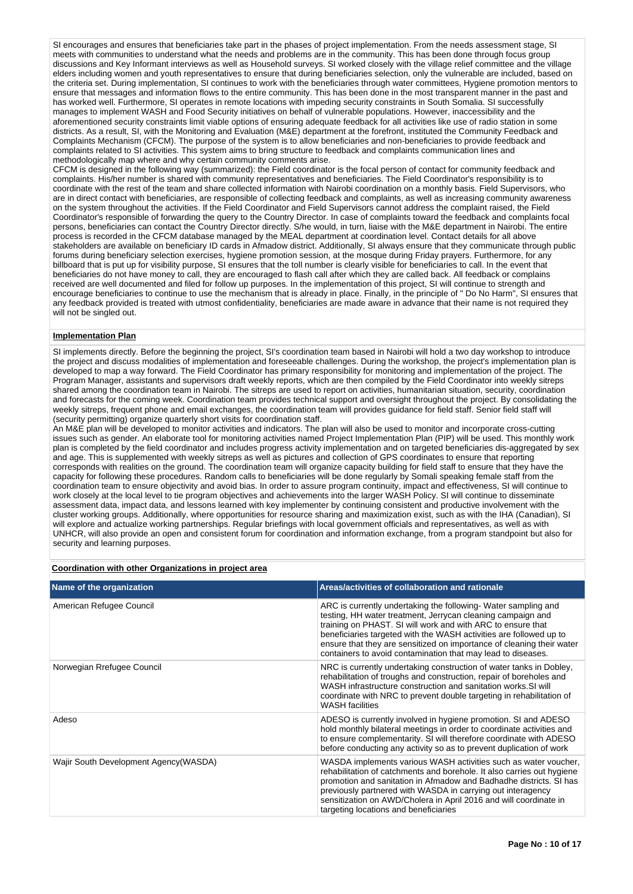SI encourages and ensures that beneficiaries take part in the phases of project implementation. From the needs assessment stage, SI meets with communities to understand what the needs and problems are in the community. This has been done through focus group discussions and Key Informant interviews as well as Household surveys. SI worked closely with the village relief committee and the village elders including women and youth representatives to ensure that during beneficiaries selection, only the vulnerable are included, based on the criteria set. During implementation, SI continues to work with the beneficiaries through water committees, Hygiene promotion mentors to ensure that messages and information flows to the entire community. This has been done in the most transparent manner in the past and has worked well. Furthermore, SI operates in remote locations with impeding security constraints in South Somalia. SI successfully manages to implement WASH and Food Security initiatives on behalf of vulnerable populations. However, inaccessibility and the aforementioned security constraints limit viable options of ensuring adequate feedback for all activities like use of radio station in some districts. As a result, SI, with the Monitoring and Evaluation (M&E) department at the forefront, instituted the Community Feedback and Complaints Mechanism (CFCM). The purpose of the system is to allow beneficiaries and non-beneficiaries to provide feedback and complaints related to SI activities. This system aims to bring structure to feedback and complaints communication lines and methodologically map where and why certain community comments arise.

CFCM is designed in the following way (summarized): the Field coordinator is the focal person of contact for community feedback and complaints. His/her number is shared with community representatives and beneficiaries. The Field Coordinator's responsibility is to coordinate with the rest of the team and share collected information with Nairobi coordination on a monthly basis. Field Supervisors, who are in direct contact with beneficiaries, are responsible of collecting feedback and complaints, as well as increasing community awareness on the system throughout the activities. If the Field Coordinator and Field Supervisors cannot address the complaint raised, the Field Coordinator's responsible of forwarding the query to the Country Director. In case of complaints toward the feedback and complaints focal persons, beneficiaries can contact the Country Director directly. S/he would, in turn, liaise with the M&E department in Nairobi. The entire process is recorded in the CFCM database managed by the MEAL department at coordination level. Contact details for all above stakeholders are available on beneficiary ID cards in Afmadow district. Additionally, SI always ensure that they communicate through public forums during beneficiary selection exercises, hygiene promotion session, at the mosque during Friday prayers. Furthermore, for any billboard that is put up for visibility purpose, SI ensures that the toll number is clearly visible for beneficiaries to call. In the event that beneficiaries do not have money to call, they are encouraged to flash call after which they are called back. All feedback or complains received are well documented and filed for follow up purposes. In the implementation of this project, SI will continue to strength and encourage beneficiaries to continue to use the mechanism that is already in place. Finally, in the principle of " Do No Harm", SI ensures that any feedback provided is treated with utmost confidentiality, beneficiaries are made aware in advance that their name is not required they will not be singled out.

### **Implementation Plan**

SI implements directly. Before the beginning the project, SI's coordination team based in Nairobi will hold a two day workshop to introduce the project and discuss modalities of implementation and foreseeable challenges. During the workshop, the project's implementation plan is developed to map a way forward. The Field Coordinator has primary responsibility for monitoring and implementation of the project. The Program Manager, assistants and supervisors draft weekly reports, which are then compiled by the Field Coordinator into weekly sitreps shared among the coordination team in Nairobi. The sitreps are used to report on activities, humanitarian situation, security, coordination and forecasts for the coming week. Coordination team provides technical support and oversight throughout the project. By consolidating the weekly sitreps, frequent phone and email exchanges, the coordination team will provides guidance for field staff. Senior field staff will (security permitting) organize quarterly short visits for coordination staff.

An M&E plan will be developed to monitor activities and indicators. The plan will also be used to monitor and incorporate cross-cutting issues such as gender. An elaborate tool for monitoring activities named Project Implementation Plan (PIP) will be used. This monthly work plan is completed by the field coordinator and includes progress activity implementation and on targeted beneficiaries dis-aggregated by sex and age. This is supplemented with weekly sitreps as well as pictures and collection of GPS coordinates to ensure that reporting corresponds with realities on the ground. The coordination team will organize capacity building for field staff to ensure that they have the capacity for following these procedures. Random calls to beneficiaries will be done regularly by Somali speaking female staff from the coordination team to ensure objectivity and avoid bias. In order to assure program continuity, impact and effectiveness, SI will continue to work closely at the local level to tie program objectives and achievements into the larger WASH Policy. SI will continue to disseminate assessment data, impact data, and lessons learned with key implementer by continuing consistent and productive involvement with the cluster working groups. Additionally, where opportunities for resource sharing and maximization exist, such as with the IHA (Canadian), SI will explore and actualize working partnerships. Regular briefings with local government officials and representatives, as well as with UNHCR, will also provide an open and consistent forum for coordination and information exchange, from a program standpoint but also for security and learning purposes.

# **Coordination with other Organizations in project area**

| Name of the organization               | Areas/activities of collaboration and rationale                                                                                                                                                                                                                                                                                                                                                            |
|----------------------------------------|------------------------------------------------------------------------------------------------------------------------------------------------------------------------------------------------------------------------------------------------------------------------------------------------------------------------------------------------------------------------------------------------------------|
| American Refugee Council               | ARC is currently undertaking the following-Water sampling and<br>testing, HH water treatment, Jerrycan cleaning campaign and<br>training on PHAST. SI will work and with ARC to ensure that<br>beneficiaries targeted with the WASH activities are followed up to<br>ensure that they are sensitized on importance of cleaning their water<br>containers to avoid contamination that may lead to diseases. |
| Norwegian Rrefugee Council             | NRC is currently undertaking construction of water tanks in Dobley,<br>rehabilitation of troughs and construction, repair of boreholes and<br>WASH infrastructure construction and sanitation works. SI will<br>coordinate with NRC to prevent double targeting in rehabilitation of<br><b>WASH</b> facilities                                                                                             |
| Adeso                                  | ADESO is currently involved in hygiene promotion. SI and ADESO<br>hold monthly bilateral meetings in order to coordinate activities and<br>to ensure complementarity. SI will therefore coordinate with ADESO<br>before conducting any activity so as to prevent duplication of work                                                                                                                       |
| Wajir South Development Agency (WASDA) | WASDA implements various WASH activities such as water voucher,<br>rehabilitation of catchments and borehole. It also carries out hygiene<br>promotion and sanitation in Afmadow and Badhadhe districts. SI has<br>previously partnered with WASDA in carrying out interagency<br>sensitization on AWD/Cholera in April 2016 and will coordinate in<br>targeting locations and beneficiaries               |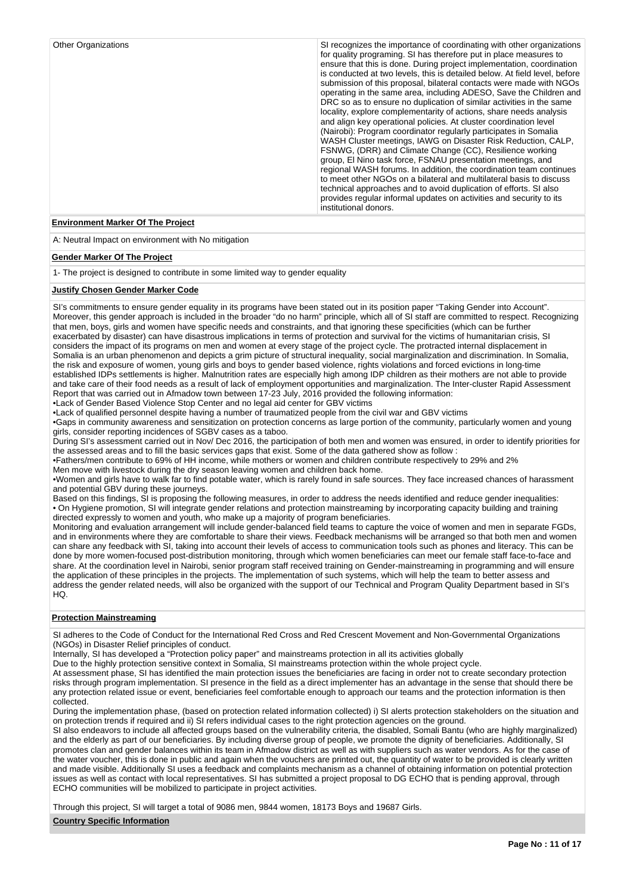| SI recognizes the importance of coordinating with other organizations<br>for quality programing. SI has therefore put in place measures to<br>ensure that this is done. During project implementation, coordination<br>is conducted at two levels, this is detailed below. At field level, before<br>submission of this proposal, bilateral contacts were made with NGOs<br>operating in the same area, including ADESO, Save the Children and<br>DRC so as to ensure no duplication of similar activities in the same<br>locality, explore complementarity of actions, share needs analysis<br>and align key operational policies. At cluster coordination level<br>(Nairobi): Program coordinator regularly participates in Somalia<br>WASH Cluster meetings, IAWG on Disaster Risk Reduction, CALP,<br>FSNWG, (DRR) and Climate Change (CC), Resilience working<br>group, El Nino task force, FSNAU presentation meetings, and<br>regional WASH forums. In addition, the coordination team continues |
|---------------------------------------------------------------------------------------------------------------------------------------------------------------------------------------------------------------------------------------------------------------------------------------------------------------------------------------------------------------------------------------------------------------------------------------------------------------------------------------------------------------------------------------------------------------------------------------------------------------------------------------------------------------------------------------------------------------------------------------------------------------------------------------------------------------------------------------------------------------------------------------------------------------------------------------------------------------------------------------------------------|
|                                                                                                                                                                                                                                                                                                                                                                                                                                                                                                                                                                                                                                                                                                                                                                                                                                                                                                                                                                                                         |

### **Environment Marker Of The Project**

A: Neutral Impact on environment with No mitigation

#### **Gender Marker Of The Project**

1- The project is designed to contribute in some limited way to gender equality

# **Justify Chosen Gender Marker Code**

SI's commitments to ensure gender equality in its programs have been stated out in its position paper "Taking Gender into Account". Moreover, this gender approach is included in the broader "do no harm" principle, which all of SI staff are committed to respect. Recognizing that men, boys, girls and women have specific needs and constraints, and that ignoring these specificities (which can be further exacerbated by disaster) can have disastrous implications in terms of protection and survival for the victims of humanitarian crisis, SI considers the impact of its programs on men and women at every stage of the project cycle. The protracted internal displacement in Somalia is an urban phenomenon and depicts a grim picture of structural inequality, social marginalization and discrimination. In Somalia, the risk and exposure of women, young girls and boys to gender based violence, rights violations and forced evictions in long-time established IDPs settlements is higher. Malnutrition rates are especially high among IDP children as their mothers are not able to provide and take care of their food needs as a result of lack of employment opportunities and marginalization. The Inter-cluster Rapid Assessment Report that was carried out in Afmadow town between 17-23 July, 2016 provided the following information: •Lack of Gender Based Violence Stop Center and no legal aid center for GBV victims

•Lack of qualified personnel despite having a number of traumatized people from the civil war and GBV victims

•Gaps in community awareness and sensitization on protection concerns as large portion of the community, particularly women and young girls, consider reporting incidences of SGBV cases as a taboo.

During SI's assessment carried out in Nov/ Dec 2016, the participation of both men and women was ensured, in order to identify priorities for the assessed areas and to fill the basic services gaps that exist. Some of the data gathered show as follow :

•Fathers/men contribute to 69% of HH income, while mothers or women and children contribute respectively to 29% and 2%

Men move with livestock during the dry season leaving women and children back home.

•Women and girls have to walk far to find potable water, which is rarely found in safe sources. They face increased chances of harassment and potential GBV during these journeys.

Based on this findings, SI is proposing the following measures, in order to address the needs identified and reduce gender inequalities: • On Hygiene promotion, SI will integrate gender relations and protection mainstreaming by incorporating capacity building and training directed expressly to women and youth, who make up a majority of program beneficiaries.

Monitoring and evaluation arrangement will include gender-balanced field teams to capture the voice of women and men in separate FGDs, and in environments where they are comfortable to share their views. Feedback mechanisms will be arranged so that both men and women can share any feedback with SI, taking into account their levels of access to communication tools such as phones and literacy. This can be done by more women-focused post-distribution monitoring, through which women beneficiaries can meet our female staff face-to-face and share. At the coordination level in Nairobi, senior program staff received training on Gender-mainstreaming in programming and will ensure the application of these principles in the projects. The implementation of such systems, which will help the team to better assess and address the gender related needs, will also be organized with the support of our Technical and Program Quality Department based in SI's  $HO$ 

### **Protection Mainstreaming**

SI adheres to the Code of Conduct for the International Red Cross and Red Crescent Movement and Non-Governmental Organizations (NGOs) in Disaster Relief principles of conduct.

Internally, SI has developed a "Protection policy paper" and mainstreams protection in all its activities globally

Due to the highly protection sensitive context in Somalia, SI mainstreams protection within the whole project cycle.

At assessment phase, SI has identified the main protection issues the beneficiaries are facing in order not to create secondary protection risks through program implementation. SI presence in the field as a direct implementer has an advantage in the sense that should there be any protection related issue or event, beneficiaries feel comfortable enough to approach our teams and the protection information is then collected.

During the implementation phase, (based on protection related information collected) i) SI alerts protection stakeholders on the situation and on protection trends if required and ii) SI refers individual cases to the right protection agencies on the ground.

SI also endeavors to include all affected groups based on the vulnerability criteria, the disabled, Somali Bantu (who are highly marginalized) and the elderly as part of our beneficiaries. By including diverse group of people, we promote the dignity of beneficiaries. Additionally, SI promotes clan and gender balances within its team in Afmadow district as well as with suppliers such as water vendors. As for the case of the water voucher, this is done in public and again when the vouchers are printed out, the quantity of water to be provided is clearly written and made visible. Additionally SI uses a feedback and complaints mechanism as a channel of obtaining information on potential protection issues as well as contact with local representatives. SI has submitted a project proposal to DG ECHO that is pending approval, through ECHO communities will be mobilized to participate in project activities.

Through this project, SI will target a total of 9086 men, 9844 women, 18173 Boys and 19687 Girls.

### **Country Specific Information**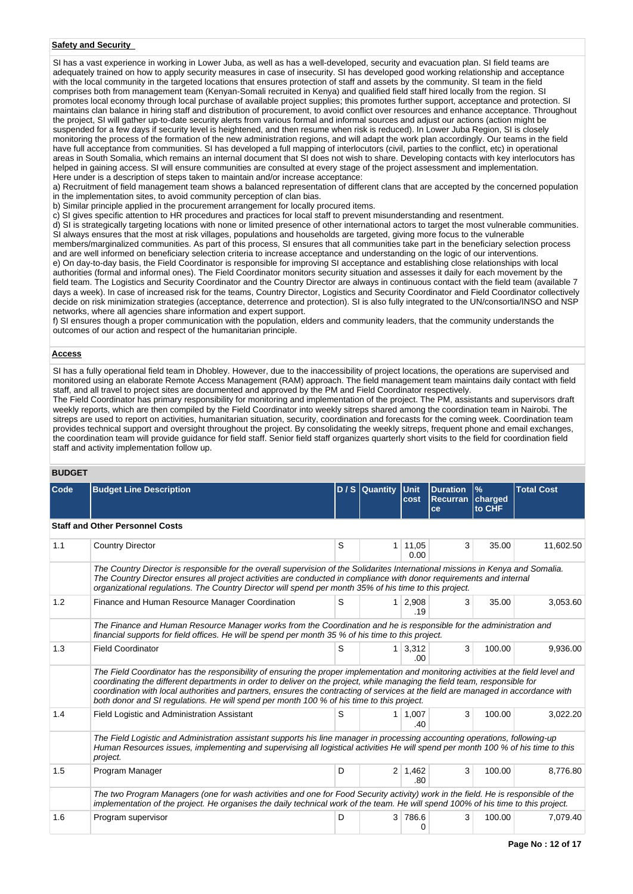# **Safety and Security**

SI has a vast experience in working in Lower Juba, as well as has a well-developed, security and evacuation plan. SI field teams are adequately trained on how to apply security measures in case of insecurity. SI has developed good working relationship and acceptance with the local community in the targeted locations that ensures protection of staff and assets by the community. SI team in the field comprises both from management team (Kenyan-Somali recruited in Kenya) and qualified field staff hired locally from the region. SI promotes local economy through local purchase of available project supplies; this promotes further support, acceptance and protection. SI maintains clan balance in hiring staff and distribution of procurement, to avoid conflict over resources and enhance acceptance. Throughout the project, SI will gather up-to-date security alerts from various formal and informal sources and adjust our actions (action might be suspended for a few days if security level is heightened, and then resume when risk is reduced). In Lower Juba Region, SI is closely monitoring the process of the formation of the new administration regions, and will adapt the work plan accordingly. Our teams in the field have full acceptance from communities. SI has developed a full mapping of interlocutors (civil, parties to the conflict, etc) in operational areas in South Somalia, which remains an internal document that SI does not wish to share. Developing contacts with key interlocutors has helped in gaining access. SI will ensure communities are consulted at every stage of the project assessment and implementation. Here under is a description of steps taken to maintain and/or increase acceptance:

a) Recruitment of field management team shows a balanced representation of different clans that are accepted by the concerned population in the implementation sites, to avoid community perception of clan bias.

b) Similar principle applied in the procurement arrangement for locally procured items.

c) SI gives specific attention to HR procedures and practices for local staff to prevent misunderstanding and resentment.

d) SI is strategically targeting locations with none or limited presence of other international actors to target the most vulnerable communities. SI always ensures that the most at risk villages, populations and households are targeted, giving more focus to the vulnerable

members/marginalized communities. As part of this process, SI ensures that all communities take part in the beneficiary selection process and are well informed on beneficiary selection criteria to increase acceptance and understanding on the logic of our interventions. e) On day-to-day basis, the Field Coordinator is responsible for improving SI acceptance and establishing close relationships with local authorities (formal and informal ones). The Field Coordinator monitors security situation and assesses it daily for each movement by the field team. The Logistics and Security Coordinator and the Country Director are always in continuous contact with the field team (available 7 days a week). In case of increased risk for the teams, Country Director, Logistics and Security Coordinator and Field Coordinator collectively decide on risk minimization strategies (acceptance, deterrence and protection). SI is also fully integrated to the UN/consortia/INSO and NSP networks, where all agencies share information and expert support.

f) SI ensures though a proper communication with the population, elders and community leaders, that the community understands the outcomes of our action and respect of the humanitarian principle.

### **Access**

SI has a fully operational field team in Dhobley. However, due to the inaccessibility of project locations, the operations are supervised and monitored using an elaborate Remote Access Management (RAM) approach. The field management team maintains daily contact with field staff, and all travel to project sites are documented and approved by the PM and Field Coordinator respectively. The Field Coordinator has primary responsibility for monitoring and implementation of the project. The PM, assistants and supervisors draft

weekly reports, which are then compiled by the Field Coordinator into weekly sitreps shared among the coordination team in Nairobi. The sitreps are used to report on activities, humanitarian situation, security, coordination and forecasts for the coming week. Coordination team provides technical support and oversight throughout the project. By consolidating the weekly sitreps, frequent phone and email exchanges, the coordination team will provide guidance for field staff. Senior field staff organizes quarterly short visits to the field for coordination field staff and activity implementation follow up.

# **BUDGET**

| Code | <b>Budget Line Description</b>                                                                                                                                                                                                                                                                                                                                                                                                                                                                     |                                                                                                                                                                                                                           | $D/S$ Quantity | <b>Unit</b><br>cost   | <b>Duration</b><br><b>Recurran</b><br>ce | $\%$<br>charged<br>to CHF | <b>Total Cost</b> |  |  |  |
|------|----------------------------------------------------------------------------------------------------------------------------------------------------------------------------------------------------------------------------------------------------------------------------------------------------------------------------------------------------------------------------------------------------------------------------------------------------------------------------------------------------|---------------------------------------------------------------------------------------------------------------------------------------------------------------------------------------------------------------------------|----------------|-----------------------|------------------------------------------|---------------------------|-------------------|--|--|--|
|      | <b>Staff and Other Personnel Costs</b>                                                                                                                                                                                                                                                                                                                                                                                                                                                             |                                                                                                                                                                                                                           |                |                       |                                          |                           |                   |  |  |  |
| 1.1  | <b>Country Director</b>                                                                                                                                                                                                                                                                                                                                                                                                                                                                            | S                                                                                                                                                                                                                         | 1              | 11,05<br>0.00         | 3                                        | 35.00                     | 11,602.50         |  |  |  |
|      | The Country Director is responsible for the overall supervision of the Solidarites International missions in Kenya and Somalia.<br>The Country Director ensures all project activities are conducted in compliance with donor requirements and internal<br>organizational regulations. The Country Director will spend per month 35% of his time to this project.                                                                                                                                  |                                                                                                                                                                                                                           |                |                       |                                          |                           |                   |  |  |  |
| 1.2  | Finance and Human Resource Manager Coordination                                                                                                                                                                                                                                                                                                                                                                                                                                                    | S                                                                                                                                                                                                                         | $\mathbf{1}$   | 2,908<br>.19          | 3                                        | 35.00                     | 3,053.60          |  |  |  |
|      |                                                                                                                                                                                                                                                                                                                                                                                                                                                                                                    | The Finance and Human Resource Manager works from the Coordination and he is responsible for the administration and<br>financial supports for field offices. He will be spend per month 35 % of his time to this project. |                |                       |                                          |                           |                   |  |  |  |
| 1.3  | <b>Field Coordinator</b>                                                                                                                                                                                                                                                                                                                                                                                                                                                                           | S                                                                                                                                                                                                                         | 1 <sup>1</sup> | 3,312<br>.00.         | 3                                        | 100.00                    | 9,936.00          |  |  |  |
|      | The Field Coordinator has the responsibility of ensuring the proper implementation and monitoring activities at the field level and<br>coordinating the different departments in order to deliver on the project, while managing the field team, responsible for<br>coordination with local authorities and partners, ensures the contracting of services at the field are managed in accordance with<br>both donor and SI regulations. He will spend per month 100 % of his time to this project. |                                                                                                                                                                                                                           |                |                       |                                          |                           |                   |  |  |  |
| 1.4  | Field Logistic and Administration Assistant                                                                                                                                                                                                                                                                                                                                                                                                                                                        | S                                                                                                                                                                                                                         |                | 1   1,007<br>.40      | 3                                        | 100.00                    | 3.022.20          |  |  |  |
|      | The Field Logistic and Administration assistant supports his line manager in processing accounting operations, following-up<br>Human Resources issues, implementing and supervising all logistical activities He will spend per month 100 % of his time to this<br>project.                                                                                                                                                                                                                        |                                                                                                                                                                                                                           |                |                       |                                          |                           |                   |  |  |  |
| 1.5  | Program Manager                                                                                                                                                                                                                                                                                                                                                                                                                                                                                    | D                                                                                                                                                                                                                         |                | $2 \mid 1,462$<br>.80 | 3                                        | 100.00                    | 8,776.80          |  |  |  |
|      | The two Program Managers (one for wash activities and one for Food Security activity) work in the field. He is responsible of the<br>implementation of the project. He organises the daily technical work of the team. He will spend 100% of his time to this project.                                                                                                                                                                                                                             |                                                                                                                                                                                                                           |                |                       |                                          |                           |                   |  |  |  |
| 1.6  | Program supervisor                                                                                                                                                                                                                                                                                                                                                                                                                                                                                 | D                                                                                                                                                                                                                         |                | 3 786.6<br>0          | 3                                        | 100.00                    | 7,079.40          |  |  |  |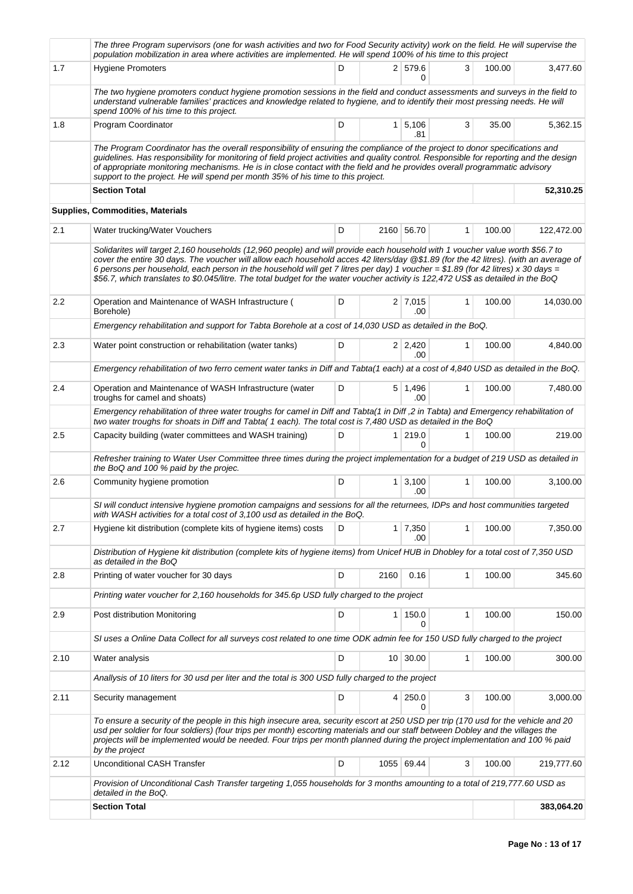|         | The three Program supervisors (one for wash activities and two for Food Security activity) work on the field. He will supervise the<br>population mobilization in area where activities are implemented. He will spend 100% of his time to this project                                                                                                                                                                                                                                                                                       |   |                |                       |              |        |            |
|---------|-----------------------------------------------------------------------------------------------------------------------------------------------------------------------------------------------------------------------------------------------------------------------------------------------------------------------------------------------------------------------------------------------------------------------------------------------------------------------------------------------------------------------------------------------|---|----------------|-----------------------|--------------|--------|------------|
| 1.7     | <b>Hygiene Promoters</b>                                                                                                                                                                                                                                                                                                                                                                                                                                                                                                                      | D |                | 2 579.6<br>0          | 3            | 100.00 | 3,477.60   |
|         | The two hygiene promoters conduct hygiene promotion sessions in the field and conduct assessments and surveys in the field to<br>understand vulnerable families' practices and knowledge related to hygiene, and to identify their most pressing needs. He will<br>spend 100% of his time to this project.                                                                                                                                                                                                                                    |   |                |                       |              |        |            |
| 1.8     | Program Coordinator                                                                                                                                                                                                                                                                                                                                                                                                                                                                                                                           | D | 1 <sup>1</sup> | 5,106<br>.81          | 3            | 35.00  | 5,362.15   |
|         | The Program Coordinator has the overall responsibility of ensuring the compliance of the project to donor specifications and<br>quidelines. Has responsibility for monitoring of field project activities and quality control. Responsible for reporting and the design<br>of appropriate monitoring mechanisms. He is in close contact with the field and he provides overall programmatic advisory<br>support to the project. He will spend per month 35% of his time to this project.                                                      |   |                |                       |              |        |            |
|         | <b>Section Total</b>                                                                                                                                                                                                                                                                                                                                                                                                                                                                                                                          |   |                |                       |              |        | 52,310.25  |
|         | Supplies, Commodities, Materials                                                                                                                                                                                                                                                                                                                                                                                                                                                                                                              |   |                |                       |              |        |            |
| 2.1     | Water trucking/Water Vouchers                                                                                                                                                                                                                                                                                                                                                                                                                                                                                                                 | D |                | 2160 56.70            | 1            | 100.00 | 122,472.00 |
|         | Solidarites will target 2,160 households (12,960 people) and will provide each household with 1 voucher value worth \$56.7 to<br>cover the entire 30 days. The voucher will allow each household acces 42 liters/day @\$1.89 (for the 42 litres). (with an average of<br>6 persons per household, each person in the household will get 7 litres per day) 1 voucher = \$1.89 (for 42 litres) x 30 days =<br>\$56.7, which translates to \$0.045/litre. The total budget for the water voucher activity is 122,472 US\$ as detailed in the BoQ |   |                |                       |              |        |            |
| $2.2\,$ | Operation and Maintenance of WASH Infrastructure (<br>Borehole)                                                                                                                                                                                                                                                                                                                                                                                                                                                                               | D |                | $2 \mid 7.015$<br>.00 | $\mathbf{1}$ | 100.00 | 14,030.00  |
|         | Emergency rehabilitation and support for Tabta Borehole at a cost of 14,030 USD as detailed in the BoQ.                                                                                                                                                                                                                                                                                                                                                                                                                                       |   |                |                       |              |        |            |
| 2.3     | Water point construction or rehabilitation (water tanks)                                                                                                                                                                                                                                                                                                                                                                                                                                                                                      | D |                | $2 \mid 2,420$<br>.00 | 1            | 100.00 | 4,840.00   |
|         | Emergency rehabilitation of two ferro cement water tanks in Diff and Tabta(1 each) at a cost of 4,840 USD as detailed in the BoQ.                                                                                                                                                                                                                                                                                                                                                                                                             |   |                |                       |              |        |            |
| 2.4     | Operation and Maintenance of WASH Infrastructure (water<br>troughs for camel and shoats)                                                                                                                                                                                                                                                                                                                                                                                                                                                      | D |                | 5 1,496<br>.00        | $\mathbf{1}$ | 100.00 | 7,480.00   |
|         | Emergency rehabilitation of three water troughs for camel in Diff and Tabta(1 in Diff ,2 in Tabta) and Emergency rehabilitation of<br>two water troughs for shoats in Diff and Tabta(1 each). The total cost is 7,480 USD as detailed in the BoQ                                                                                                                                                                                                                                                                                              |   |                |                       |              |        |            |
| 2.5     | Capacity building (water committees and WASH training)                                                                                                                                                                                                                                                                                                                                                                                                                                                                                        | D |                | $1 \mid 219.0$<br>0   | 1            | 100.00 | 219.00     |
|         | Refresher training to Water User Committee three times during the project implementation for a budget of 219 USD as detailed in<br>the BoQ and 100 % paid by the projec.                                                                                                                                                                                                                                                                                                                                                                      |   |                |                       |              |        |            |
| 2.6     | Community hygiene promotion                                                                                                                                                                                                                                                                                                                                                                                                                                                                                                                   | D |                | $1 \mid 3,100$<br>.00 | 1            | 100.00 | 3,100.00   |
|         | SI will conduct intensive hygiene promotion campaigns and sessions for all the returnees, IDPs and host communities targeted<br>with WASH activities for a total cost of 3,100 usd as detailed in the BoQ.                                                                                                                                                                                                                                                                                                                                    |   |                |                       |              |        |            |
| 2.7     | Hygiene kit distribution (complete kits of hygiene items) costs                                                                                                                                                                                                                                                                                                                                                                                                                                                                               | D |                | $1 \mid 7,350$<br>.00 | 1            | 100.00 | 7,350.00   |
|         | Distribution of Hygiene kit distribution (complete kits of hygiene items) from Unicef HUB in Dhobley for a total cost of 7,350 USD<br>as detailed in the BoQ                                                                                                                                                                                                                                                                                                                                                                                  |   |                |                       |              |        |            |
| 2.8     | Printing of water voucher for 30 days                                                                                                                                                                                                                                                                                                                                                                                                                                                                                                         | D | 2160           | 0.16                  | $\mathbf{1}$ | 100.00 | 345.60     |
|         | Printing water voucher for 2,160 households for 345.6p USD fully charged to the project                                                                                                                                                                                                                                                                                                                                                                                                                                                       |   |                |                       |              |        |            |
| 2.9     | Post distribution Monitoring                                                                                                                                                                                                                                                                                                                                                                                                                                                                                                                  | D | $\mathbf{1}$   | 150.0<br>0            | 1            | 100.00 | 150.00     |
|         | SI uses a Online Data Collect for all surveys cost related to one time ODK admin fee for 150 USD fully charged to the project                                                                                                                                                                                                                                                                                                                                                                                                                 |   |                |                       |              |        |            |
| 2.10    | Water analysis                                                                                                                                                                                                                                                                                                                                                                                                                                                                                                                                | D |                | 10 30.00              | 1            | 100.00 | 300.00     |
|         | Anallysis of 10 liters for 30 usd per liter and the total is 300 USD fully charged to the project                                                                                                                                                                                                                                                                                                                                                                                                                                             |   |                |                       |              |        |            |
| 2.11    | Security management                                                                                                                                                                                                                                                                                                                                                                                                                                                                                                                           | D | 4 <sup>1</sup> | 250.0<br>0            | 3            | 100.00 | 3,000.00   |
|         | To ensure a security of the people in this high insecure area, security escort at 250 USD per trip (170 usd for the vehicle and 20<br>usd per soldier for four soldiers) (four trips per month) escorting materials and our staff between Dobley and the villages the<br>projects will be implemented would be needed. Four trips per month planned during the project implementation and 100 % paid<br>by the project                                                                                                                        |   |                |                       |              |        |            |
| 2.12    | <b>Unconditional CASH Transfer</b>                                                                                                                                                                                                                                                                                                                                                                                                                                                                                                            | D |                | 1055 69.44            | 3            | 100.00 | 219,777.60 |
|         | Provision of Unconditional Cash Transfer targeting 1,055 households for 3 months amounting to a total of 219,777.60 USD as<br>detailed in the BoQ.                                                                                                                                                                                                                                                                                                                                                                                            |   |                |                       |              |        |            |
|         | <b>Section Total</b>                                                                                                                                                                                                                                                                                                                                                                                                                                                                                                                          |   |                |                       |              |        | 383,064.20 |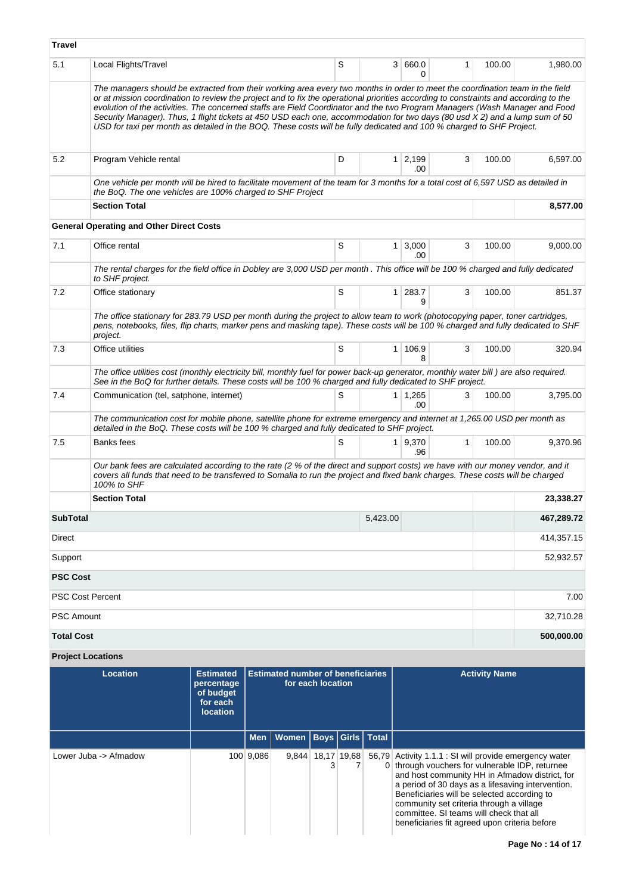| <b>Travel</b>                                                                                                                                                                                                                                                                   |                                                                                                                                                                                                                                                                                                                                                                                                                                                                                                                                                                                                                                                             |  |            |       |                        |                      |                      |                                                                                                                                                                                                                                                                                                                                                                                                         |              |        |            |
|---------------------------------------------------------------------------------------------------------------------------------------------------------------------------------------------------------------------------------------------------------------------------------|-------------------------------------------------------------------------------------------------------------------------------------------------------------------------------------------------------------------------------------------------------------------------------------------------------------------------------------------------------------------------------------------------------------------------------------------------------------------------------------------------------------------------------------------------------------------------------------------------------------------------------------------------------------|--|------------|-------|------------------------|----------------------|----------------------|---------------------------------------------------------------------------------------------------------------------------------------------------------------------------------------------------------------------------------------------------------------------------------------------------------------------------------------------------------------------------------------------------------|--------------|--------|------------|
| 5.1                                                                                                                                                                                                                                                                             | Local Flights/Travel                                                                                                                                                                                                                                                                                                                                                                                                                                                                                                                                                                                                                                        |  |            |       |                        | S                    |                      | 3 660.0<br>$\Omega$                                                                                                                                                                                                                                                                                                                                                                                     | $\mathbf 1$  | 100.00 | 1,980.00   |
|                                                                                                                                                                                                                                                                                 | The managers should be extracted from their working area every two months in order to meet the coordination team in the field<br>or at mission coordination to review the project and to fix the operational priorities according to constraints and according to the<br>evolution of the activities. The concerned staffs are Field Coordinator and the two Program Managers (Wash Manager and Food<br>Security Manager). Thus, 1 flight tickets at 450 USD each one, accommodation for two days (80 usd X 2) and a lump sum of 50<br>USD for taxi per month as detailed in the BOQ. These costs will be fully dedicated and 100 % charged to SHF Project. |  |            |       |                        |                      |                      |                                                                                                                                                                                                                                                                                                                                                                                                         |              |        |            |
| 5.2                                                                                                                                                                                                                                                                             | Program Vehicle rental                                                                                                                                                                                                                                                                                                                                                                                                                                                                                                                                                                                                                                      |  |            |       |                        | D                    |                      | $1 \mid 2,199$<br>.00                                                                                                                                                                                                                                                                                                                                                                                   | 3            | 100.00 | 6,597.00   |
|                                                                                                                                                                                                                                                                                 | One vehicle per month will be hired to facilitate movement of the team for 3 months for a total cost of 6,597 USD as detailed in<br>the BoQ. The one vehicles are 100% charged to SHF Project                                                                                                                                                                                                                                                                                                                                                                                                                                                               |  |            |       |                        |                      |                      |                                                                                                                                                                                                                                                                                                                                                                                                         |              |        |            |
|                                                                                                                                                                                                                                                                                 | <b>Section Total</b>                                                                                                                                                                                                                                                                                                                                                                                                                                                                                                                                                                                                                                        |  |            |       |                        |                      |                      |                                                                                                                                                                                                                                                                                                                                                                                                         |              |        | 8,577.00   |
|                                                                                                                                                                                                                                                                                 | <b>General Operating and Other Direct Costs</b>                                                                                                                                                                                                                                                                                                                                                                                                                                                                                                                                                                                                             |  |            |       |                        |                      |                      |                                                                                                                                                                                                                                                                                                                                                                                                         |              |        |            |
| 7.1                                                                                                                                                                                                                                                                             | Office rental                                                                                                                                                                                                                                                                                                                                                                                                                                                                                                                                                                                                                                               |  |            |       |                        | S                    |                      | $1 \mid 3,000$<br>.00                                                                                                                                                                                                                                                                                                                                                                                   | 3            | 100.00 | 9,000.00   |
|                                                                                                                                                                                                                                                                                 | The rental charges for the field office in Dobley are 3,000 USD per month . This office will be 100 % charged and fully dedicated<br>to SHF project.                                                                                                                                                                                                                                                                                                                                                                                                                                                                                                        |  |            |       |                        |                      |                      |                                                                                                                                                                                                                                                                                                                                                                                                         |              |        |            |
| 7.2                                                                                                                                                                                                                                                                             | Office stationary                                                                                                                                                                                                                                                                                                                                                                                                                                                                                                                                                                                                                                           |  |            |       |                        | S                    |                      | $1 \vert 283.7$<br>g                                                                                                                                                                                                                                                                                                                                                                                    | 3            | 100.00 | 851.37     |
|                                                                                                                                                                                                                                                                                 | The office stationary for 283.79 USD per month during the project to allow team to work (photocopying paper, toner cartridges,<br>pens, notebooks, files, flip charts, marker pens and masking tape). These costs will be 100 % charged and fully dedicated to SHF<br>project.                                                                                                                                                                                                                                                                                                                                                                              |  |            |       |                        |                      |                      |                                                                                                                                                                                                                                                                                                                                                                                                         |              |        |            |
| 7.3                                                                                                                                                                                                                                                                             | Office utilities                                                                                                                                                                                                                                                                                                                                                                                                                                                                                                                                                                                                                                            |  |            |       |                        | S                    |                      | 1 106.9<br>8                                                                                                                                                                                                                                                                                                                                                                                            | 3            | 100.00 | 320.94     |
|                                                                                                                                                                                                                                                                                 | The office utilities cost (monthly electricity bill, monthly fuel for power back-up generator, monthly water bill) are also required.<br>See in the BoQ for further details. These costs will be 100 % charged and fully dedicated to SHF project.                                                                                                                                                                                                                                                                                                                                                                                                          |  |            |       |                        |                      |                      |                                                                                                                                                                                                                                                                                                                                                                                                         |              |        |            |
| 7.4                                                                                                                                                                                                                                                                             | Communication (tel, satphone, internet)                                                                                                                                                                                                                                                                                                                                                                                                                                                                                                                                                                                                                     |  |            |       |                        | S                    |                      | $1 \mid 1,265$<br>.00.                                                                                                                                                                                                                                                                                                                                                                                  | 3            | 100.00 | 3,795.00   |
|                                                                                                                                                                                                                                                                                 | The communication cost for mobile phone, satellite phone for extreme emergency and internet at 1,265.00 USD per month as<br>detailed in the BoQ. These costs will be 100 % charged and fully dedicated to SHF project.                                                                                                                                                                                                                                                                                                                                                                                                                                      |  |            |       |                        |                      |                      |                                                                                                                                                                                                                                                                                                                                                                                                         |              |        |            |
| 7.5                                                                                                                                                                                                                                                                             | Banks fees                                                                                                                                                                                                                                                                                                                                                                                                                                                                                                                                                                                                                                                  |  |            |       |                        | S                    |                      | 1   9,370<br>.96                                                                                                                                                                                                                                                                                                                                                                                        | $\mathbf{1}$ | 100.00 | 9,370.96   |
| Our bank fees are calculated according to the rate (2 % of the direct and support costs) we have with our money vendor, and it<br>covers all funds that need to be transferred to Somalia to run the project and fixed bank charges. These costs will be charged<br>100% to SHF |                                                                                                                                                                                                                                                                                                                                                                                                                                                                                                                                                                                                                                                             |  |            |       |                        |                      |                      |                                                                                                                                                                                                                                                                                                                                                                                                         |              |        |            |
|                                                                                                                                                                                                                                                                                 | <b>Section Total</b>                                                                                                                                                                                                                                                                                                                                                                                                                                                                                                                                                                                                                                        |  |            |       |                        |                      |                      |                                                                                                                                                                                                                                                                                                                                                                                                         |              |        | 23,338.27  |
| <b>SubTotal</b>                                                                                                                                                                                                                                                                 |                                                                                                                                                                                                                                                                                                                                                                                                                                                                                                                                                                                                                                                             |  |            |       |                        |                      | 5,423.00             |                                                                                                                                                                                                                                                                                                                                                                                                         |              |        | 467,289.72 |
| Direct                                                                                                                                                                                                                                                                          |                                                                                                                                                                                                                                                                                                                                                                                                                                                                                                                                                                                                                                                             |  |            |       |                        |                      |                      |                                                                                                                                                                                                                                                                                                                                                                                                         |              |        | 414,357.15 |
| Support                                                                                                                                                                                                                                                                         |                                                                                                                                                                                                                                                                                                                                                                                                                                                                                                                                                                                                                                                             |  |            |       |                        |                      |                      |                                                                                                                                                                                                                                                                                                                                                                                                         |              |        | 52,932.57  |
| <b>PSC Cost</b>                                                                                                                                                                                                                                                                 |                                                                                                                                                                                                                                                                                                                                                                                                                                                                                                                                                                                                                                                             |  |            |       |                        |                      |                      |                                                                                                                                                                                                                                                                                                                                                                                                         |              |        |            |
| <b>PSC Cost Percent</b>                                                                                                                                                                                                                                                         |                                                                                                                                                                                                                                                                                                                                                                                                                                                                                                                                                                                                                                                             |  |            |       |                        |                      |                      |                                                                                                                                                                                                                                                                                                                                                                                                         |              |        | 7.00       |
|                                                                                                                                                                                                                                                                                 | <b>PSC Amount</b>                                                                                                                                                                                                                                                                                                                                                                                                                                                                                                                                                                                                                                           |  |            |       |                        |                      |                      | 32,710.28                                                                                                                                                                                                                                                                                                                                                                                               |              |        |            |
| <b>Total Cost</b>                                                                                                                                                                                                                                                               |                                                                                                                                                                                                                                                                                                                                                                                                                                                                                                                                                                                                                                                             |  |            |       |                        |                      |                      |                                                                                                                                                                                                                                                                                                                                                                                                         |              |        | 500,000.00 |
| <b>Project Locations</b>                                                                                                                                                                                                                                                        |                                                                                                                                                                                                                                                                                                                                                                                                                                                                                                                                                                                                                                                             |  |            |       |                        |                      |                      |                                                                                                                                                                                                                                                                                                                                                                                                         |              |        |            |
| <b>Location</b><br><b>Estimated</b><br><b>Estimated number of beneficiaries</b><br>for each location<br>percentage<br>of budget<br>for each<br><b>location</b>                                                                                                                  |                                                                                                                                                                                                                                                                                                                                                                                                                                                                                                                                                                                                                                                             |  |            |       |                        | <b>Activity Name</b> |                      |                                                                                                                                                                                                                                                                                                                                                                                                         |              |        |            |
|                                                                                                                                                                                                                                                                                 |                                                                                                                                                                                                                                                                                                                                                                                                                                                                                                                                                                                                                                                             |  | <b>Men</b> | Women |                        |                      | Boys   Girls   Total |                                                                                                                                                                                                                                                                                                                                                                                                         |              |        |            |
| Lower Juba -> Afmadow                                                                                                                                                                                                                                                           |                                                                                                                                                                                                                                                                                                                                                                                                                                                                                                                                                                                                                                                             |  | 100 9,086  |       | 9,844 18,17 19,68<br>3 | 7                    |                      | 56,79 Activity 1.1.1 : SI will provide emergency water<br>0 through vouchers for vulnerable IDP, returnee<br>and host community HH in Afmadow district, for<br>a period of 30 days as a lifesaving intervention.<br>Beneficiaries will be selected according to<br>community set criteria through a village<br>committee. SI teams will check that all<br>beneficiaries fit agreed upon criteria before |              |        |            |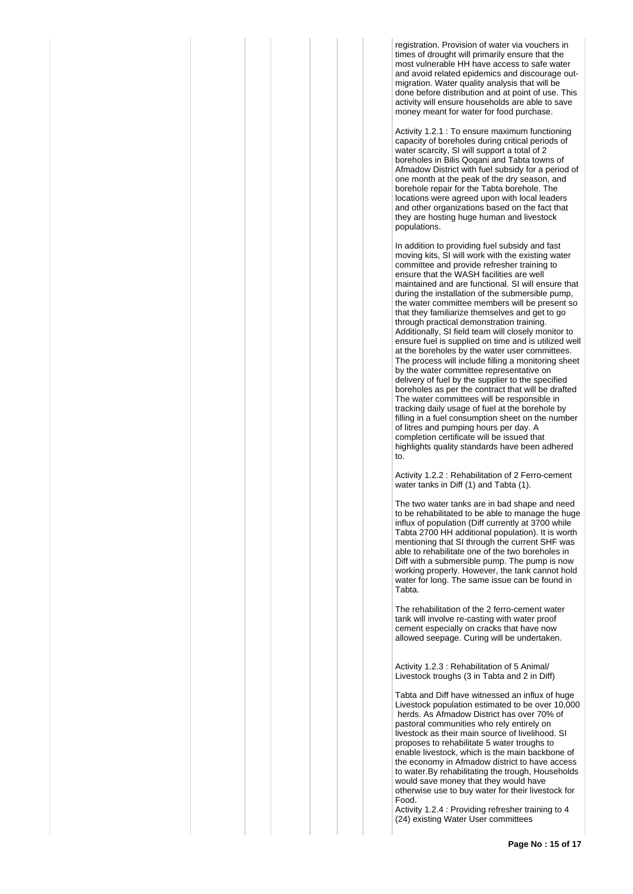registration. Provision of water via vouchers in times of drought will primarily ensure that the most vulnerable HH have access to safe water and avoid related epidemics and discourage outmigration. Water quality analysis that will be done before distribution and at point of use. This activity will ensure households are able to save money meant for water for food purchase.

Activity 1.2.1 : To ensure maximum functioning capacity of boreholes during critical periods of water scarcity, SI will support a total of 2 boreholes in Bilis Qoqani and Tabta towns of Afmadow District with fuel subsidy for a period of one month at the peak of the dry season, and borehole repair for the Tabta borehole. The locations were agreed upon with local leaders and other organizations based on the fact that they are hosting huge human and livestock populations.

In addition to providing fuel subsidy and fast moving kits, SI will work with the existing water committee and provide refresher training to ensure that the WASH facilities are well maintained and are functional. SI will ensure that during the installation of the submersible pump, the water committee members will be present so that they familiarize themselves and get to go through practical demonstration training. Additionally, SI field team will closely monitor to ensure fuel is supplied on time and is utilized well at the boreholes by the water user committees. The process will include filling a monitoring sheet by the water committee representative on delivery of fuel by the supplier to the specified boreholes as per the contract that will be drafted The water committees will be responsible in tracking daily usage of fuel at the borehole by filling in a fuel consumption sheet on the number of litres and pumping hours per day. A completion certificate will be issued that highlights quality standards have been adhered to.

Activity 1.2.2 : Rehabilitation of 2 Ferro-cement water tanks in Diff (1) and Tabta (1).

The two water tanks are in bad shape and need to be rehabilitated to be able to manage the huge influx of population (Diff currently at 3700 while Tabta 2700 HH additional population). It is worth mentioning that SI through the current SHF was able to rehabilitate one of the two boreholes in Diff with a submersible pump. The pump is now working properly. However, the tank cannot hold water for long. The same issue can be found in Tabta.

The rehabilitation of the 2 ferro-cement water tank will involve re-casting with water proof cement especially on cracks that have now allowed seepage. Curing will be undertaken.

Activity 1.2.3 : Rehabilitation of 5 Animal/ Livestock troughs (3 in Tabta and 2 in Diff)

Tabta and Diff have witnessed an influx of huge Livestock population estimated to be over 10,000 herds. As Afmadow District has over 70% of pastoral communities who rely entirely on livestock as their main source of livelihood. SI proposes to rehabilitate 5 water troughs to enable livestock, which is the main backbone of the economy in Afmadow district to have access to water.By rehabilitating the trough, Households would save money that they would have otherwise use to buy water for their livestock for Food.

Activity 1.2.4 : Providing refresher training to 4 (24) existing Water User committees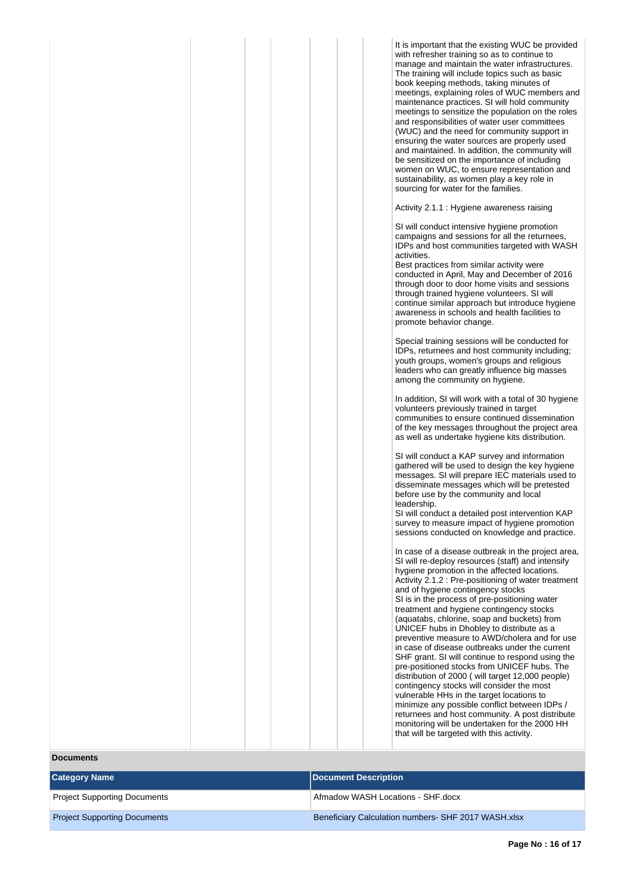| It is important that the existing WUC be provided<br>with refresher training so as to continue to<br>manage and maintain the water infrastructures.<br>The training will include topics such as basic<br>book keeping methods, taking minutes of<br>meetings, explaining roles of WUC members and<br>maintenance practices. SI will hold community<br>meetings to sensitize the population on the roles<br>and responsibilities of water user committees<br>(WUC) and the need for community support in<br>ensuring the water sources are properly used<br>and maintained. In addition, the community will<br>be sensitized on the importance of including<br>women on WUC, to ensure representation and<br>sustainability, as women play a key role in<br>sourcing for water for the families.                                                                                                                                                       |
|-------------------------------------------------------------------------------------------------------------------------------------------------------------------------------------------------------------------------------------------------------------------------------------------------------------------------------------------------------------------------------------------------------------------------------------------------------------------------------------------------------------------------------------------------------------------------------------------------------------------------------------------------------------------------------------------------------------------------------------------------------------------------------------------------------------------------------------------------------------------------------------------------------------------------------------------------------|
| Activity 2.1.1 : Hygiene awareness raising                                                                                                                                                                                                                                                                                                                                                                                                                                                                                                                                                                                                                                                                                                                                                                                                                                                                                                            |
| SI will conduct intensive hygiene promotion<br>campaigns and sessions for all the returnees,<br>IDPs and host communities targeted with WASH<br>activities.<br>Best practices from similar activity were<br>conducted in April, May and December of 2016<br>through door to door home visits and sessions<br>through trained hygiene volunteers. SI will<br>continue similar approach but introduce hygiene<br>awareness in schools and health facilities to<br>promote behavior change.                                                                                                                                                                                                                                                                                                                                                                                                                                                              |
| Special training sessions will be conducted for<br>IDPs, returnees and host community including;<br>youth groups, women's groups and religious<br>leaders who can greatly influence big masses<br>among the community on hygiene.                                                                                                                                                                                                                                                                                                                                                                                                                                                                                                                                                                                                                                                                                                                     |
| In addition, SI will work with a total of 30 hygiene<br>volunteers previously trained in target<br>communities to ensure continued dissemination<br>of the key messages throughout the project area<br>as well as undertake hygiene kits distribution.                                                                                                                                                                                                                                                                                                                                                                                                                                                                                                                                                                                                                                                                                                |
| SI will conduct a KAP survey and information<br>gathered will be used to design the key hygiene<br>messages. SI will prepare IEC materials used to<br>disseminate messages which will be pretested<br>before use by the community and local<br>leadership.<br>SI will conduct a detailed post intervention KAP<br>survey to measure impact of hygiene promotion<br>sessions conducted on knowledge and practice.                                                                                                                                                                                                                                                                                                                                                                                                                                                                                                                                      |
| In case of a disease outbreak in the project area,<br>SI will re-deploy resources (staff) and intensify<br>hygiene promotion in the affected locations.<br>Activity 2.1.2 : Pre-positioning of water treatment<br>and of hygiene contingency stocks<br>SI is in the process of pre-positioning water<br>treatment and hygiene contingency stocks<br>(aquatabs, chlorine, soap and buckets) from<br>UNICEF hubs in Dhobley to distribute as a<br>preventive measure to AWD/cholera and for use<br>in case of disease outbreaks under the current<br>SHF grant. SI will continue to respond using the<br>pre-positioned stocks from UNICEF hubs. The<br>distribution of 2000 (will target 12,000 people)<br>contingency stocks will consider the most<br>vulnerable HHs in the target locations to<br>minimize any possible conflict between IDPs /<br>returnees and host community. A post distribute<br>monitoring will be undertaken for the 2000 HH |

that will be targeted with this activity.

**Documents**

| <b>Category Name</b>                | Document Description                                |
|-------------------------------------|-----------------------------------------------------|
| <b>Project Supporting Documents</b> | Afmadow WASH Locations - SHF.docx                   |
| <b>Project Supporting Documents</b> | Beneficiary Calculation numbers- SHF 2017 WASH.xlsx |